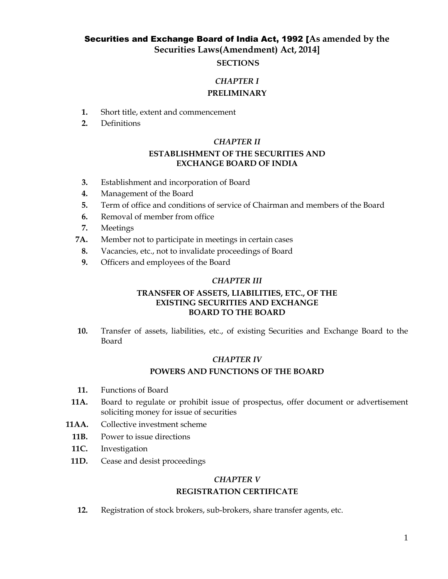# Securities and Exchange Board of India Act, 1992 [**As amended by the Securities Laws(Amendment) Act, 2014]**

### **SECTIONS**

# *CHAPTER I*

### **PRELIMINARY**

- **1.** Short title, extent and commencement
- **2.** Definitions

#### *CHAPTER II*

#### **ESTABLISHMENT OF THE SECURITIES AND EXCHANGE BOARD OF INDIA**

- **3.** Establishment and incorporation of Board
- **4.** Management of the Board
- **5.** Term of office and conditions of service of Chairman and members of the Board
- **6.** Removal of member from office
- **7.** Meetings
- **7A.** Member not to participate in meetings in certain cases
- **8.** Vacancies, etc., not to invalidate proceedings of Board
- **9.** Officers and employees of the Board

#### *CHAPTER III*

#### **TRANSFER OF ASSETS, LIABILITIES, ETC., OF THE EXISTING SECURITIES AND EXCHANGE BOARD TO THE BOARD**

**10.** Transfer of assets, liabilities, etc., of existing Securities and Exchange Board to the Board

#### *CHAPTER IV*

#### **POWERS AND FUNCTIONS OF THE BOARD**

- **11.** Functions of Board
- **11A.** Board to regulate or prohibit issue of prospectus, offer document or advertisement soliciting money for issue of securities
- **11AA.** Collective investment scheme
	- **11B.** Power to issue directions
	- **11C.** Investigation
- **11D.** Cease and desist proceedings

#### *CHAPTER V*

#### **REGISTRATION CERTIFICATE**

**12.** Registration of stock brokers, sub-brokers, share transfer agents, etc.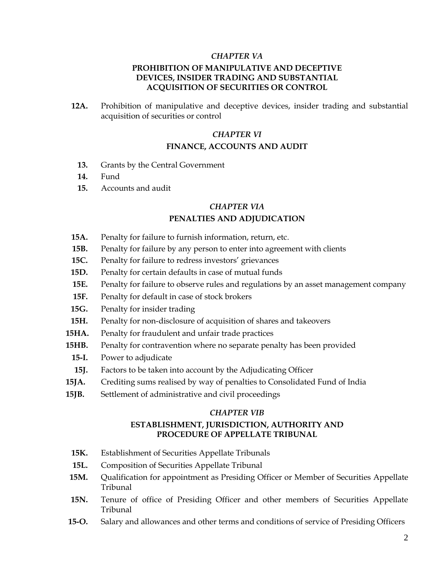#### *CHAPTER VA*

### **PROHIBITION OF MANIPULATIVE AND DECEPTIVE DEVICES, INSIDER TRADING AND SUBSTANTIAL ACQUISITION OF SECURITIES OR CONTROL**

**12A.** Prohibition of manipulative and deceptive devices, insider trading and substantial acquisition of securities or control

#### *CHAPTER VI*

#### **FINANCE, ACCOUNTS AND AUDIT**

- **13.** Grants by the Central Government
- **14.** Fund
- **15.** Accounts and audit

# *CHAPTER VIA* **PENALTIES AND ADJUDICATION**

- **15A.** Penalty for failure to furnish information, return, etc*.*
- **15B.** Penalty for failure by any person to enter into agreement with clients
- **15C.** Penalty for failure to redress investors' grievances
- **15D.** Penalty for certain defaults in case of mutual funds
- **15E.** Penalty for failure to observe rules and regulations by an asset management company
- **15F.** Penalty for default in case of stock brokers
- **15G.** Penalty for insider trading
- **15H.** Penalty for non-disclosure of acquisition of shares and takeovers
- **15HA.** Penalty for fraudulent and unfair trade practices
- **15HB.** Penalty for contravention where no separate penalty has been provided
- **15-I.** Power to adjudicate
- **15J.** Factors to be taken into account by the Adjudicating Officer
- **15JA.** Crediting sums realised by way of penalties to Consolidated Fund of India
- **15JB.** Settlement of administrative and civil proceedings

#### *CHAPTER VIB*

#### **ESTABLISHMENT, JURISDICTION, AUTHORITY AND PROCEDURE OF APPELLATE TRIBUNAL**

- **15K.** Establishment of Securities Appellate Tribunals
- **15L.** Composition of Securities Appellate Tribunal
- **15M.** Qualification for appointment as Presiding Officer or Member of Securities Appellate Tribunal
- **15N.** Tenure of office of Presiding Officer and other members of Securities Appellate Tribunal
- **15-O.** Salary and allowances and other terms and conditions of service of Presiding Officers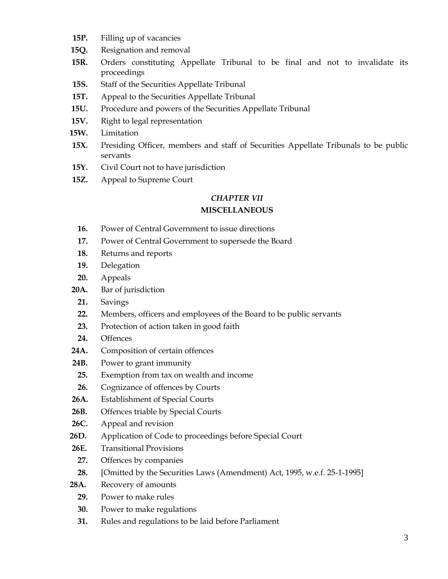- **15P.** Filling up of vacancies
- **15Q.** Resignation and removal
- **15R.** Orders constituting Appellate Tribunal to be final and not to invalidate its proceedings
- **15S.** Staff of the Securities Appellate Tribunal
- **15T.** Appeal to the Securities Appellate Tribunal
- **15U.** Procedure and powers of the Securities Appellate Tribunal
- **15V.** Right to legal representation
- **15W.** Limitation
- **15X.** Presiding Officer, members and staff of Securities Appellate Tribunals to be public servants
- **15Y.** Civil Court not to have jurisdiction
- **15Z.** Appeal to Supreme Court

# *CHAPTER VII*

# **MISCELLANEOUS**

- **16.** Power of Central Government to issue directions
- **17.** Power of Central Government to supersede the Board
- **18.** Returns and reports
- **19.** Delegation
- **20.** Appeals
- **20A.** Bar of jurisdiction
	- **21.** Savings
	- **22.** Members, officers and employees of the Board to be public servants
	- **23.** Protection of action taken in good faith
	- **24.** Offences
- **24A.** Composition of certain offences
- **24B.** Power to grant immunity
	- **25.** Exemption from tax on wealth and income
- **26.** Cognizance of offences by Courts
- **26A.** Establishment of Special Courts
- **26B.** Offences triable by Special Courts
- **26C.** Appeal and revision
- **26D.** Application of Code to proceedings before Special Court
- **26E.** Transitional Provisions
- **27.** Offences by companies
- **28.** [Omitted by the Securities Laws (Amendment) Act, 1995, w.e.f. 25-1-1995]
- **28A.** Recovery of amounts
	- **29.** Power to make rules
	- **30.** Power to make regulations
	- **31.** Rules and regulations to be laid before Parliament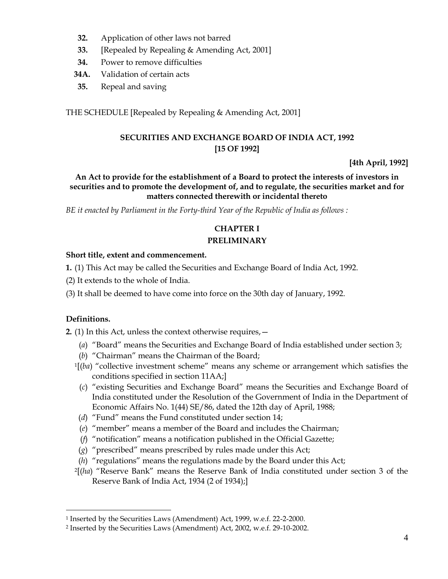- **32.** Application of other laws not barred
- **33.** [Repealed by Repealing & Amending Act, 2001]
- **34.** Power to remove difficulties
- **34A.** Validation of certain acts
- **35.** Repeal and saving

THE SCHEDULE [Repealed by Repealing & Amending Act, 2001]

# **SECURITIES AND EXCHANGE BOARD OF INDIA ACT, 1992 [15 OF 1992]**

**[4th April, 1992]**

#### **An Act to provide for the establishment of a Board to protect the interests of investors in securities and to promote the development of, and to regulate, the securities market and for matters connected therewith or incidental thereto**

*BE it enacted by Parliament in the Forty-third Year of the Republic of India as follows :*

# **CHAPTER I**

# **PRELIMINARY**

### **Short title, extent and commencement.**

- **1.** (1) This Act may be called the Securities and Exchange Board of India Act, 1992.
- (2) It extends to the whole of India.
- (3) It shall be deemed to have come into force on the 30th day of January, 1992.

# **Definitions.**

 $\overline{a}$ 

**2.** (1) In this Act, unless the context otherwise requires,—

- (a) "Board" means the Securities and Exchange Board of India established under section 3;
- (*b*) "Chairman" means the Chairman of the Board;
- $1[(ba)$  "collective investment scheme" means any scheme or arrangement which satisfies the conditions specified in section 11AA;]
- (*c*) "existing Securities and Exchange Board" means the Securities and Exchange Board of India constituted under the Resolution of the Government of India in the Department of Economic Affairs No. 1(44) SE/86, dated the 12th day of April, 1988;
- (*d*) "Fund" means the Fund constituted under section 14;
- (*e*) "member" means a member of the Board and includes the Chairman;
- $(f)$  "notification" means a notification published in the Official Gazette;
- $(g)$  "prescribed" means prescribed by rules made under this Act;
- (*h*) "regulations" means the regulations made by the Board under this Act;
- $2[(ha)$  "Reserve Bank" means the Reserve Bank of India constituted under section 3 of the Reserve Bank of India Act, 1934 (2 of 1934);]

<sup>1</sup> Inserted by the Securities Laws (Amendment) Act, 1999, w.e.f. 22-2-2000.

<sup>2</sup> Inserted by the Securities Laws (Amendment) Act, 2002, w.e.f. 29-10-2002.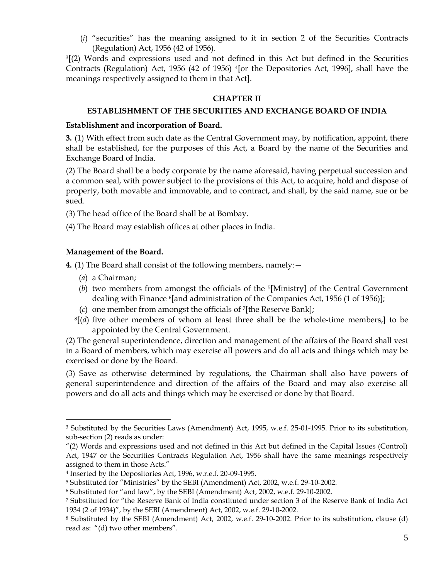(*i*) "securities" has the meaning assigned to it in section 2 of the Securities Contracts (Regulation) Act, 1956 (42 of 1956).

<sup>3</sup>[(2) Words and expressions used and not defined in this Act but defined in the Securities Contracts (Regulation) Act, 1956 (42 of 1956) 4[or the Depositories Act, 1996], shall have the meanings respectively assigned to them in that Act].

#### **CHAPTER II**

#### **ESTABLISHMENT OF THE SECURITIES AND EXCHANGE BOARD OF INDIA**

#### **Establishment and incorporation of Board.**

**3.** (1) With effect from such date as the Central Government may, by notification, appoint, there shall be established, for the purposes of this Act, a Board by the name of the Securities and Exchange Board of India.

(2) The Board shall be a body corporate by the name aforesaid, having perpetual succession and a common seal, with power subject to the provisions of this Act, to acquire, hold and dispose of property, both movable and immovable, and to contract, and shall, by the said name, sue or be sued.

- (3) The head office of the Board shall be at Bombay.
- (4) The Board may establish offices at other places in India.

#### **Management of the Board.**

**4.** (1) The Board shall consist of the following members, namely:—

(*a*) a Chairman;

 $\overline{a}$ 

- (*b*) two members from amongst the officials of the 5[Ministry] of the Central Government dealing with Finance <sup>6</sup>[and administration of the Companies Act, 1956 (1 of 1956)];
- (*c*) one member from amongst the officials of 7[the Reserve Bank];
- <sup>8</sup>[(*d*) five other members of whom at least three shall be the whole-time members,] to be appointed by the Central Government.

(2) The general superintendence, direction and management of the affairs of the Board shall vest in a Board of members, which may exercise all powers and do all acts and things which may be exercised or done by the Board.

(3) Save as otherwise determined by regulations, the Chairman shall also have powers of general superintendence and direction of the affairs of the Board and may also exercise all powers and do all acts and things which may be exercised or done by that Board.

<sup>3</sup> Substituted by the Securities Laws (Amendment) Act, 1995, w.e.f. 25-01-1995. Prior to its substitution, sub-section (2) reads as under:

<sup>―(2)</sup> Words and expressions used and not defined in this Act but defined in the Capital Issues (Control) Act, 1947 or the Securities Contracts Regulation Act, 1956 shall have the same meanings respectively assigned to them in those Acts."

<sup>4</sup> Inserted by the Depositories Act, 1996, w.r.e.f. 20-09-1995.

<sup>&</sup>lt;sup>5</sup> Substituted for "Ministries" by the SEBI (Amendment) Act, 2002, w.e.f. 29-10-2002.

<sup>&</sup>lt;sup>6</sup> Substituted for "and law", by the SEBI (Amendment) Act, 2002, w.e.f. 29-10-2002.

<sup>&</sup>lt;sup>7</sup> Substituted for "the Reserve Bank of India constituted under section 3 of the Reserve Bank of India Act 1934 (2 of 1934)", by the SEBI (Amendment) Act, 2002, w.e.f. 29-10-2002.

<sup>8</sup> Substituted by the SEBI (Amendment) Act, 2002, w.e.f. 29-10-2002. Prior to its substitution, clause (d) read as: "(d) two other members".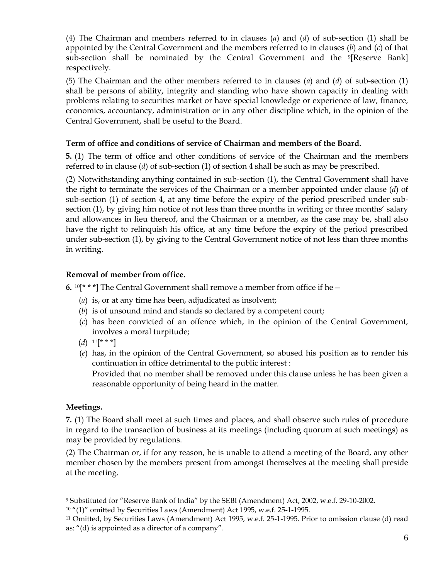(4) The Chairman and members referred to in clauses (*a*) and (*d*) of sub-section (1) shall be appointed by the Central Government and the members referred to in clauses (*b*) and (*c*) of that sub-section shall be nominated by the Central Government and the 9[Reserve Bank] respectively.

(5) The Chairman and the other members referred to in clauses (*a*) and (*d*) of sub-section (1) shall be persons of ability, integrity and standing who have shown capacity in dealing with problems relating to securities market or have special knowledge or experience of law, finance, economics, accountancy, administration or in any other discipline which, in the opinion of the Central Government, shall be useful to the Board.

### **Term of office and conditions of service of Chairman and members of the Board.**

**5.** (1) The term of office and other conditions of service of the Chairman and the members referred to in clause (*d*) of sub-section (1) of section 4 shall be such as may be prescribed.

(2) Notwithstanding anything contained in sub-section (1), the Central Government shall have the right to terminate the services of the Chairman or a member appointed under clause (*d*) of sub-section (1) of section 4, at any time before the expiry of the period prescribed under subsection (1), by giving him notice of not less than three months in writing or three months' salary and allowances in lieu thereof, and the Chairman or a member, as the case may be, shall also have the right to relinquish his office, at any time before the expiry of the period prescribed under sub-section (1), by giving to the Central Government notice of not less than three months in writing.

### **Removal of member from office.**

**6.**  $10[***]$  The Central Government shall remove a member from office if he  $-$ 

- (*a*) is, or at any time has been, adjudicated as insolvent;
- (*b*) is of unsound mind and stands so declared by a competent court;
- (*c*) has been convicted of an offence which, in the opinion of the Central Government, involves a moral turpitude;
- $(d)$  <sup>11</sup>[\* \* \*]
- (*e*) has, in the opinion of the Central Government, so abused his position as to render his continuation in office detrimental to the public interest : Provided that no member shall be removed under this clause unless he has been given a reasonable opportunity of being heard in the matter.

# **Meetings.**

 $\overline{a}$ 

**7.** (1) The Board shall meet at such times and places, and shall observe such rules of procedure in regard to the transaction of business at its meetings (including quorum at such meetings) as may be provided by regulations.

(2) The Chairman or, if for any reason, he is unable to attend a meeting of the Board, any other member chosen by the members present from amongst themselves at the meeting shall preside at the meeting.

<sup>&</sup>lt;sup>9</sup> Substituted for "Reserve Bank of India" by the SEBI (Amendment) Act, 2002, w.e.f. 29-10-2002.

 $10$  "(1)" omitted by Securities Laws (Amendment) Act 1995, w.e.f. 25-1-1995.

<sup>11</sup> Omitted, by Securities Laws (Amendment) Act 1995, w.e.f. 25-1-1995. Prior to omission clause (d) read as:  $\degree$ (d) is appointed as a director of a company".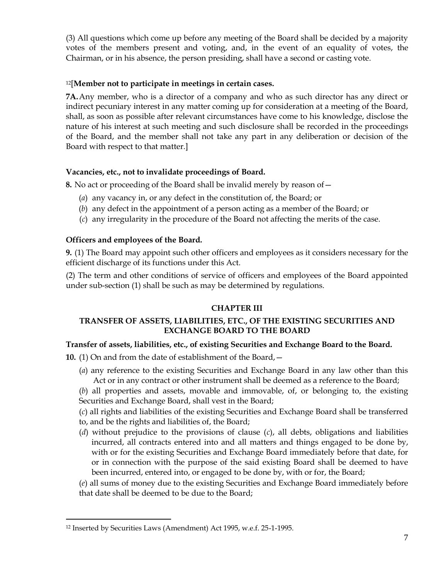(3) All questions which come up before any meeting of the Board shall be decided by a majority votes of the members present and voting, and, in the event of an equality of votes, the Chairman, or in his absence, the person presiding, shall have a second or casting vote.

# <sup>12</sup>[**Member not to participate in meetings in certain cases.**

**7A.**Any member, who is a director of a company and who as such director has any direct or indirect pecuniary interest in any matter coming up for consideration at a meeting of the Board, shall, as soon as possible after relevant circumstances have come to his knowledge, disclose the nature of his interest at such meeting and such disclosure shall be recorded in the proceedings of the Board, and the member shall not take any part in any deliberation or decision of the Board with respect to that matter.]

### **Vacancies, etc., not to invalidate proceedings of Board.**

**8.** No act or proceeding of the Board shall be invalid merely by reason of—

- (*a*) any vacancy in, or any defect in the constitution of, the Board; or
- (*b*) any defect in the appointment of a person acting as a member of the Board; or
- (*c*) any irregularity in the procedure of the Board not affecting the merits of the case.

### **Officers and employees of the Board.**

**9.** (1) The Board may appoint such other officers and employees as it considers necessary for the efficient discharge of its functions under this Act.

(2) The term and other conditions of service of officers and employees of the Board appointed under sub-section (1) shall be such as may be determined by regulations.

# **CHAPTER III**

### **TRANSFER OF ASSETS, LIABILITIES, ETC., OF THE EXISTING SECURITIES AND EXCHANGE BOARD TO THE BOARD**

#### **Transfer of assets, liabilities, etc., of existing Securities and Exchange Board to the Board.**

- **10.** (1) On and from the date of establishment of the Board,—
	- (*a*) any reference to the existing Securities and Exchange Board in any law other than this Act or in any contract or other instrument shall be deemed as a reference to the Board;
	- (*b*) all properties and assets, movable and immovable, of, or belonging to, the existing Securities and Exchange Board, shall vest in the Board;
	- (*c*) all rights and liabilities of the existing Securities and Exchange Board shall be transferred
	- to, and be the rights and liabilities of, the Board;
	- (*d*) without prejudice to the provisions of clause (*c*), all debts, obligations and liabilities incurred, all contracts entered into and all matters and things engaged to be done by, with or for the existing Securities and Exchange Board immediately before that date, for or in connection with the purpose of the said existing Board shall be deemed to have been incurred, entered into, or engaged to be done by, with or for, the Board;

(*e*) all sums of money due to the existing Securities and Exchange Board immediately before that date shall be deemed to be due to the Board;

<sup>12</sup> Inserted by Securities Laws (Amendment) Act 1995, w.e.f. 25-1-1995.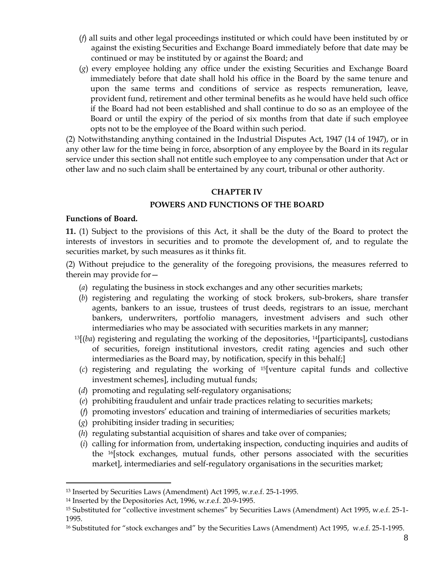- (*f*) all suits and other legal proceedings instituted or which could have been instituted by or against the existing Securities and Exchange Board immediately before that date may be continued or may be instituted by or against the Board; and
- (*g*) every employee holding any office under the existing Securities and Exchange Board immediately before that date shall hold his office in the Board by the same tenure and upon the same terms and conditions of service as respects remuneration, leave, provident fund, retirement and other terminal benefits as he would have held such office if the Board had not been established and shall continue to do so as an employee of the Board or until the expiry of the period of six months from that date if such employee opts not to be the employee of the Board within such period.

(2) Notwithstanding anything contained in the Industrial Disputes Act, 1947 (14 of 1947), or in any other law for the time being in force, absorption of any employee by the Board in its regular service under this section shall not entitle such employee to any compensation under that Act or other law and no such claim shall be entertained by any court, tribunal or other authority.

#### **CHAPTER IV**

#### **POWERS AND FUNCTIONS OF THE BOARD**

#### **Functions of Board.**

 $\overline{a}$ 

**11.** (1) Subject to the provisions of this Act, it shall be the duty of the Board to protect the interests of investors in securities and to promote the development of, and to regulate the securities market, by such measures as it thinks fit.

(2) Without prejudice to the generality of the foregoing provisions, the measures referred to therein may provide for—

- (*a*) regulating the business in stock exchanges and any other securities markets;
- (*b*) registering and regulating the working of stock brokers, sub-brokers, share transfer agents, bankers to an issue, trustees of trust deeds, registrars to an issue, merchant bankers, underwriters, portfolio managers, investment advisers and such other intermediaries who may be associated with securities markets in any manner;
- <sup>13</sup>[(*ba*) registering and regulating the working of the depositories, <sup>14</sup>[participants], custodians of securities, foreign institutional investors, credit rating agencies and such other intermediaries as the Board may, by notification, specify in this behalf;]
- (*c*) registering and regulating the working of 15[venture capital funds and collective investment schemes], including mutual funds;
- (*d*) promoting and regulating self-regulatory organisations;
- (*e*) prohibiting fraudulent and unfair trade practices relating to securities markets;
- (*f*) promoting investors' education and training of intermediaries of securities markets;
- (*g*) prohibiting insider trading in securities;
- (*h*) regulating substantial acquisition of shares and take over of companies;
- (*i*) calling for information from, undertaking inspection, conducting inquiries and audits of the 16[stock exchanges, mutual funds, other persons associated with the securities market], intermediaries and self-regulatory organisations in the securities market;

<sup>13</sup> Inserted by Securities Laws (Amendment) Act 1995, w.r.e.f. 25-1-1995.

<sup>14</sup> Inserted by the Depositories Act, 1996, w.r.e.f. 20-9-1995.

<sup>&</sup>lt;sup>15</sup> Substituted for "collective investment schemes" by Securities Laws (Amendment) Act 1995, w.e.f. 25-1-1995.

<sup>&</sup>lt;sup>16</sup> Substituted for "stock exchanges and" by the Securities Laws (Amendment) Act 1995, w.e.f. 25-1-1995.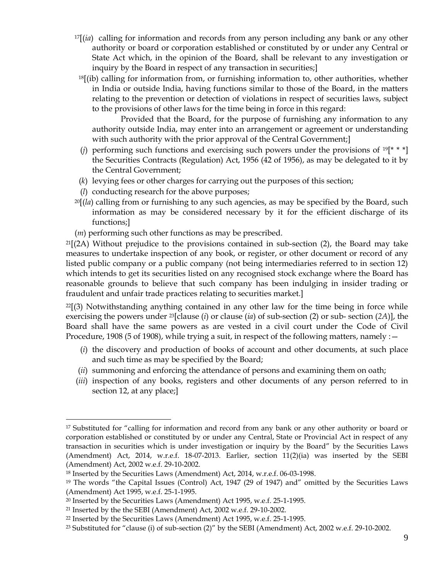- <sup>17</sup>[(*ia*) calling for information and records from any person including any bank or any other authority or board or corporation established or constituted by or under any Central or State Act which, in the opinion of the Board, shall be relevant to any investigation or inquiry by the Board in respect of any transaction in securities;]
- $18$ [(ib) calling for information from, or furnishing information to, other authorities, whether in India or outside India, having functions similar to those of the Board, in the matters relating to the prevention or detection of violations in respect of securities laws, subject to the provisions of other laws for the time being in force in this regard:

 Provided that the Board, for the purpose of furnishing any information to any authority outside India, may enter into an arrangement or agreement or understanding with such authority with the prior approval of the Central Government;]

- (*j*) performing such functions and exercising such powers under the provisions of  $19$ [\* \* \*] the Securities Contracts (Regulation) Act, 1956 (42 of 1956), as may be delegated to it by the Central Government;
- (*k*) levying fees or other charges for carrying out the purposes of this section;
- (*l*) conducting research for the above purposes;
- <sup>20</sup>[(*la*) calling from or furnishing to any such agencies, as may be specified by the Board, such information as may be considered necessary by it for the efficient discharge of its functions;]
- (*m*) performing such other functions as may be prescribed.

 $21$ [(2A) Without prejudice to the provisions contained in sub-section (2), the Board may take measures to undertake inspection of any book, or register, or other document or record of any listed public company or a public company (not being intermediaries referred to in section 12) which intends to get its securities listed on any recognised stock exchange where the Board has reasonable grounds to believe that such company has been indulging in insider trading or fraudulent and unfair trade practices relating to securities market.]

 $22$ [(3) Notwithstanding anything contained in any other law for the time being in force while exercising the powers under 23[clause (*i*) or clause (*ia*) of sub-section (2) or sub- section (*2A*)], the Board shall have the same powers as are vested in a civil court under the Code of Civil Procedure, 1908 (5 of 1908), while trying a suit, in respect of the following matters, namely :  $-$ 

- (*i*) the discovery and production of books of account and other documents, at such place and such time as may be specified by the Board;
- (*ii*) summoning and enforcing the attendance of persons and examining them on oath;
- (*iii*) inspection of any books, registers and other documents of any person referred to in section 12, at any place;]

<sup>&</sup>lt;sup>17</sup> Substituted for "calling for information and record from any bank or any other authority or board or corporation established or constituted by or under any Central, State or Provincial Act in respect of any transaction in securities which is under investigation or inquiry by the Board" by the Securities Laws (Amendment) Act, 2014, w.r.e.f. 18-07-2013. Earlier, section 11(2)(ia) was inserted by the SEBI (Amendment) Act, 2002 w.e.f. 29-10-2002.

<sup>18</sup> Inserted by the Securities Laws (Amendment) Act, 2014, w.r.e.f. 06-03-1998.

<sup>&</sup>lt;sup>19</sup> The words "the Capital Issues (Control) Act, 1947 (29 of 1947) and" omitted by the Securities Laws (Amendment) Act 1995, w.e.f. 25-1-1995.

<sup>20</sup> Inserted by the Securities Laws (Amendment) Act 1995, w.e.f. 25-1-1995.

<sup>21</sup> Inserted by the the SEBI (Amendment) Act, 2002 w.e.f. 29-10-2002.

<sup>22</sup> Inserted by the Securities Laws (Amendment) Act 1995, w.e.f. 25-1-1995.

<sup>&</sup>lt;sup>23</sup> Substituted for "clause (i) of sub-section  $(2)$ " by the SEBI (Amendment) Act, 2002 w.e.f. 29-10-2002.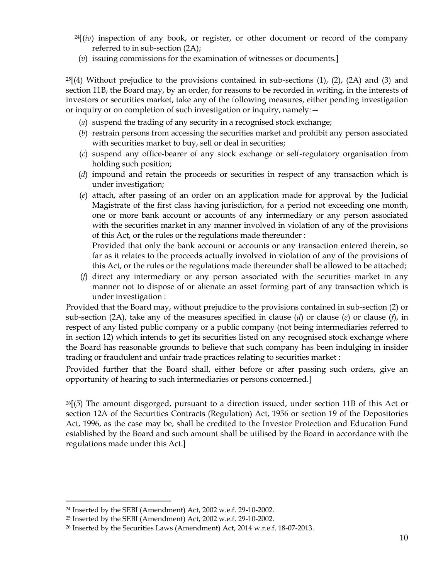- <sup>24</sup>[(*iv*) inspection of any book, or register, or other document or record of the company referred to in sub-section (2A);
- (*v*) issuing commissions for the examination of witnesses or documents.]

 $25(4)$  Without prejudice to the provisions contained in sub-sections  $(1)$ ,  $(2)$ ,  $(2A)$  and  $(3)$  and section 11B, the Board may, by an order, for reasons to be recorded in writing, in the interests of investors or securities market, take any of the following measures, either pending investigation or inquiry or on completion of such investigation or inquiry, namely:—

- (*a*) suspend the trading of any security in a recognised stock exchange;
- (*b*) restrain persons from accessing the securities market and prohibit any person associated with securities market to buy, sell or deal in securities;
- (*c*) suspend any office-bearer of any stock exchange or self-regulatory organisation from holding such position;
- (*d*) impound and retain the proceeds or securities in respect of any transaction which is under investigation;
- (*e*) attach, after passing of an order on an application made for approval by the Judicial Magistrate of the first class having jurisdiction, for a period not exceeding one month, one or more bank account or accounts of any intermediary or any person associated with the securities market in any manner involved in violation of any of the provisions of this Act, or the rules or the regulations made thereunder :

Provided that only the bank account or accounts or any transaction entered therein, so far as it relates to the proceeds actually involved in violation of any of the provisions of this Act, or the rules or the regulations made thereunder shall be allowed to be attached;

(*f*) direct any intermediary or any person associated with the securities market in any manner not to dispose of or alienate an asset forming part of any transaction which is under investigation :

Provided that the Board may, without prejudice to the provisions contained in sub-section (2) or sub-section (2A), take any of the measures specified in clause (*d*) or clause (*e*) or clause (*f*), in respect of any listed public company or a public company (not being intermediaries referred to in section 12) which intends to get its securities listed on any recognised stock exchange where the Board has reasonable grounds to believe that such company has been indulging in insider trading or fraudulent and unfair trade practices relating to securities market :

Provided further that the Board shall, either before or after passing such orders, give an opportunity of hearing to such intermediaries or persons concerned.]

 $26(5)$  The amount disgorged, pursuant to a direction issued, under section 11B of this Act or section 12A of the Securities Contracts (Regulation) Act, 1956 or section 19 of the Depositories Act, 1996, as the case may be, shall be credited to the Investor Protection and Education Fund established by the Board and such amount shall be utilised by the Board in accordance with the regulations made under this Act.]

<sup>24</sup> Inserted by the SEBI (Amendment) Act, 2002 w.e.f. 29-10-2002.

<sup>25</sup> Inserted by the SEBI (Amendment) Act, 2002 w.e.f. 29-10-2002.

<sup>26</sup> Inserted by the Securities Laws (Amendment) Act, 2014 w.r.e.f. 18-07-2013.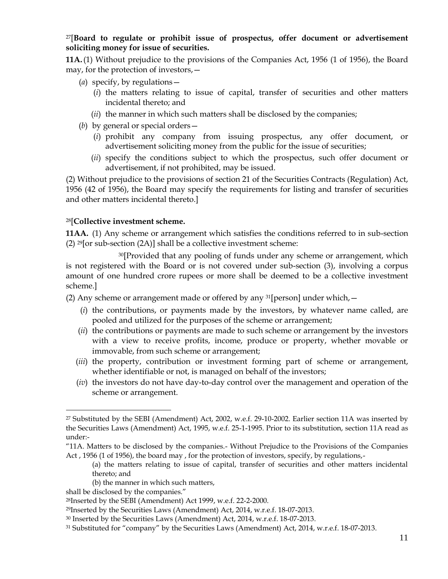<sup>27</sup>[**Board to regulate or prohibit issue of prospectus, offer document or advertisement soliciting money for issue of securities.**

**11A.**(1) Without prejudice to the provisions of the Companies Act, 1956 (1 of 1956), the Board may, for the protection of investors,—

- (*a*) specify, by regulations—
	- (*i*) the matters relating to issue of capital, transfer of securities and other matters incidental thereto; and
	- (*ii*) the manner in which such matters shall be disclosed by the companies;
- (*b*) by general or special orders—
	- (*i*) prohibit any company from issuing prospectus, any offer document, or advertisement soliciting money from the public for the issue of securities;
	- (*ii*) specify the conditions subject to which the prospectus, such offer document or advertisement, if not prohibited, may be issued.

(2) Without prejudice to the provisions of section 21 of the Securities Contracts (Regulation) Act, 1956 (42 of 1956), the Board may specify the requirements for listing and transfer of securities and other matters incidental thereto.]

#### <sup>28</sup>[**Collective investment scheme.**

**11AA.** (1) Any scheme or arrangement which satisfies the conditions referred to in sub-section (2)  $^{29}$ [or sub-section (2A)] shall be a collective investment scheme:

<sup>30</sup>[Provided that any pooling of funds under any scheme or arrangement, which is not registered with the Board or is not covered under sub-section (3), involving a corpus amount of one hundred crore rupees or more shall be deemed to be a collective investment scheme.]

(2) Any scheme or arrangement made or offered by any  $31$ [person] under which,  $-$ 

- (*i*) the contributions, or payments made by the investors, by whatever name called, are pooled and utilized for the purposes of the scheme or arrangement;
- (*ii*) the contributions or payments are made to such scheme or arrangement by the investors with a view to receive profits, income, produce or property, whether movable or immovable, from such scheme or arrangement;
- (*iii*) the property, contribution or investment forming part of scheme or arrangement, whether identifiable or not, is managed on behalf of the investors;
- (*iv*) the investors do not have day-to-day control over the management and operation of the scheme or arrangement.

- (b) the manner in which such matters,
- shall be disclosed by the companies."

<sup>27</sup> Substituted by the SEBI (Amendment) Act, 2002, w.e.f. 29-10-2002. Earlier section 11A was inserted by the Securities Laws (Amendment) Act, 1995, w.e.f. 25-1-1995. Prior to its substitution, section 11A read as under:-

<sup>&</sup>quot;11A. Matters to be disclosed by the companies.- Without Prejudice to the Provisions of the Companies Act , 1956 (1 of 1956), the board may , for the protection of investors, specify, by regulations,-

<sup>(</sup>a) the matters relating to issue of capital, transfer of securities and other matters incidental thereto; and

<sup>28</sup>Inserted by the SEBI (Amendment) Act 1999, w.e.f. 22-2-2000.

<sup>29</sup>Inserted by the Securities Laws (Amendment) Act, 2014, w.r.e.f. 18-07-2013.

<sup>30</sup> Inserted by the Securities Laws (Amendment) Act, 2014, w.r.e.f. 18-07-2013.

 $31$  Substituted for "company" by the Securities Laws (Amendment) Act, 2014, w.r.e.f. 18-07-2013.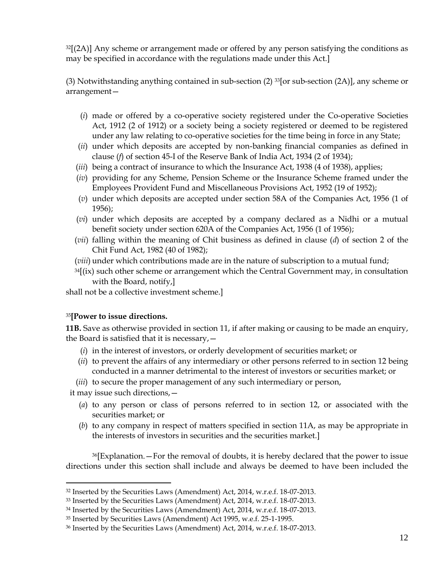$32$ [(2A)] Any scheme or arrangement made or offered by any person satisfying the conditions as may be specified in accordance with the regulations made under this Act.]

(3) Notwithstanding anything contained in sub-section (2)  $^{33}$  [or sub-section (2A)], any scheme or arrangement—

- (*i*) made or offered by a co-operative society registered under the Co-operative Societies Act, 1912 (2 of 1912) or a society being a society registered or deemed to be registered under any law relating to co-operative societies for the time being in force in any State;
- (*ii*) under which deposits are accepted by non-banking financial companies as defined in clause (*f*) of section 45-I of the Reserve Bank of India Act, 1934 (2 of 1934);
- (*iii*) being a contract of insurance to which the Insurance Act, 1938 (4 of 1938), applies;
- (*iv*) providing for any Scheme, Pension Scheme or the Insurance Scheme framed under the Employees Provident Fund and Miscellaneous Provisions Act, 1952 (19 of 1952);
- (*v*) under which deposits are accepted under section 58A of the Companies Act, 1956 (1 of 1956);
- (*vi*) under which deposits are accepted by a company declared as a Nidhi or a mutual benefit society under section 620A of the Companies Act, 1956 (1 of 1956);
- (*vii*) falling within the meaning of Chit business as defined in clause (*d*) of section 2 of the Chit Fund Act, 1982 (40 of 1982);
- (*viii*) under which contributions made are in the nature of subscription to a mutual fund;
- $34$ [(ix) such other scheme or arrangement which the Central Government may, in consultation with the Board, notify,]

shall not be a collective investment scheme.]

#### <sup>35</sup>**[Power to issue directions.**

**11B.** Save as otherwise provided in section 11, if after making or causing to be made an enquiry, the Board is satisfied that it is necessary,  $-$ 

- (*i*) in the interest of investors, or orderly development of securities market; or
- (*ii*) to prevent the affairs of any intermediary or other persons referred to in section 12 being conducted in a manner detrimental to the interest of investors or securities market; or
- (*iii*) to secure the proper management of any such intermediary or person,

it may issue such directions,—

 $\overline{a}$ 

- (*a*) to any person or class of persons referred to in section 12, or associated with the securities market; or
- (*b*) to any company in respect of matters specified in section 11A, as may be appropriate in the interests of investors in securities and the securities market.]

<sup>36</sup>[Explanation.—For the removal of doubts, it is hereby declared that the power to issue directions under this section shall include and always be deemed to have been included the

<sup>32</sup> Inserted by the Securities Laws (Amendment) Act, 2014, w.r.e.f. 18-07-2013.

<sup>33</sup> Inserted by the Securities Laws (Amendment) Act, 2014, w.r.e.f. 18-07-2013.

<sup>34</sup> Inserted by the Securities Laws (Amendment) Act, 2014, w.r.e.f. 18-07-2013.

<sup>35</sup> Inserted by Securities Laws (Amendment) Act 1995, w.e.f. 25-1-1995.

<sup>36</sup> Inserted by the Securities Laws (Amendment) Act, 2014, w.r.e.f. 18-07-2013.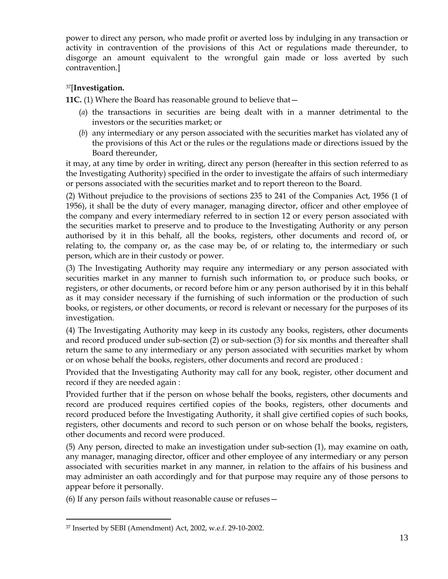power to direct any person, who made profit or averted loss by indulging in any transaction or activity in contravention of the provisions of this Act or regulations made thereunder, to disgorge an amount equivalent to the wrongful gain made or loss averted by such contravention.]

# <sup>37</sup>[**Investigation.**

**11C.** (1) Where the Board has reasonable ground to believe that—

- (*a*) the transactions in securities are being dealt with in a manner detrimental to the investors or the securities market; or
- (*b*) any intermediary or any person associated with the securities market has violated any of the provisions of this Act or the rules or the regulations made or directions issued by the Board thereunder,

it may, at any time by order in writing, direct any person (hereafter in this section referred to as the Investigating Authority) specified in the order to investigate the affairs of such intermediary or persons associated with the securities market and to report thereon to the Board.

(2) Without prejudice to the provisions of sections 235 to 241 of the Companies Act, 1956 (1 of 1956), it shall be the duty of every manager, managing director, officer and other employee of the company and every intermediary referred to in section 12 or every person associated with the securities market to preserve and to produce to the Investigating Authority or any person authorised by it in this behalf, all the books, registers, other documents and record of, or relating to, the company or, as the case may be, of or relating to, the intermediary or such person, which are in their custody or power.

(3) The Investigating Authority may require any intermediary or any person associated with securities market in any manner to furnish such information to, or produce such books, or registers, or other documents, or record before him or any person authorised by it in this behalf as it may consider necessary if the furnishing of such information or the production of such books, or registers, or other documents, or record is relevant or necessary for the purposes of its investigation.

(4) The Investigating Authority may keep in its custody any books, registers, other documents and record produced under sub-section (2) or sub-section (3) for six months and thereafter shall return the same to any intermediary or any person associated with securities market by whom or on whose behalf the books, registers, other documents and record are produced :

Provided that the Investigating Authority may call for any book, register, other document and record if they are needed again :

Provided further that if the person on whose behalf the books, registers, other documents and record are produced requires certified copies of the books, registers, other documents and record produced before the Investigating Authority, it shall give certified copies of such books, registers, other documents and record to such person or on whose behalf the books, registers, other documents and record were produced.

(5) Any person, directed to make an investigation under sub-section (1), may examine on oath, any manager, managing director, officer and other employee of any intermediary or any person associated with securities market in any manner, in relation to the affairs of his business and may administer an oath accordingly and for that purpose may require any of those persons to appear before it personally.

(6) If any person fails without reasonable cause or refuses—

<sup>37</sup> Inserted by SEBI (Amendment) Act, 2002, w.e.f. 29-10-2002.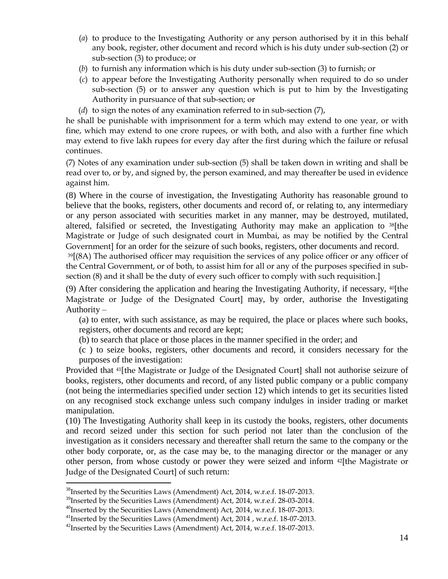- (*a*) to produce to the Investigating Authority or any person authorised by it in this behalf any book, register, other document and record which is his duty under sub-section (2) or sub-section (3) to produce; or
- (*b*) to furnish any information which is his duty under sub-section (3) to furnish; or
- (*c*) to appear before the Investigating Authority personally when required to do so under sub-section (5) or to answer any question which is put to him by the Investigating Authority in pursuance of that sub-section; or
- (*d*) to sign the notes of any examination referred to in sub-section (7),

he shall be punishable with imprisonment for a term which may extend to one year, or with fine, which may extend to one crore rupees, or with both, and also with a further fine which may extend to five lakh rupees for every day after the first during which the failure or refusal continues.

(7) Notes of any examination under sub-section (5) shall be taken down in writing and shall be read over to, or by, and signed by, the person examined, and may thereafter be used in evidence against him.

(8) Where in the course of investigation, the Investigating Authority has reasonable ground to believe that the books, registers, other documents and record of, or relating to, any intermediary or any person associated with securities market in any manner, may be destroyed, mutilated, altered, falsified or secreted, the Investigating Authority may make an application to 38[the Magistrate or Judge of such designated court in Mumbai, as may be notified by the Central Government] for an order for the seizure of such books, registers, other documents and record.

<sup>39</sup>[(8A) The authorised officer may requisition the services of any police officer or any officer of the Central Government, or of both, to assist him for all or any of the purposes specified in subsection (8) and it shall be the duty of every such officer to comply with such requisition.]

(9) After considering the application and hearing the Investigating Authority, if necessary, 40[the Magistrate or Judge of the Designated Court] may, by order, authorise the Investigating Authority –

(a) to enter, with such assistance, as may be required, the place or places where such books, registers, other documents and record are kept;

(b) to search that place or those places in the manner specified in the order; and

(c ) to seize books, registers, other documents and record, it considers necessary for the purposes of the investigation:

Provided that 41[the Magistrate or Judge of the Designated Court] shall not authorise seizure of books, registers, other documents and record, of any listed public company or a public company (not being the intermediaries specified under section 12) which intends to get its securities listed on any recognised stock exchange unless such company indulges in insider trading or market manipulation.

(10) The Investigating Authority shall keep in its custody the books, registers, other documents and record seized under this section for such period not later than the conclusion of the investigation as it considers necessary and thereafter shall return the same to the company or the other body corporate, or, as the case may be, to the managing director or the manager or any other person, from whose custody or power they were seized and inform 42[the Magistrate or Judge of the Designated Court] of such return:

<sup>&</sup>lt;sup>38</sup>Inserted by the Securities Laws (Amendment) Act, 2014, w.r.e.f. 18-07-2013.

<sup>&</sup>lt;sup>39</sup>Inserted by the Securities Laws (Amendment) Act, 2014, w.r.e.f. 28-03-2014.

<sup>&</sup>lt;sup>40</sup>Inserted by the Securities Laws (Amendment) Act, 2014, w.r.e.f. 18-07-2013.

<sup>&</sup>lt;sup>41</sup>Inserted by the Securities Laws (Amendment) Act, 2014, w.r.e.f. 18-07-2013.

<sup>&</sup>lt;sup>42</sup>Inserted by the Securities Laws (Amendment) Act, 2014, w.r.e.f. 18-07-2013.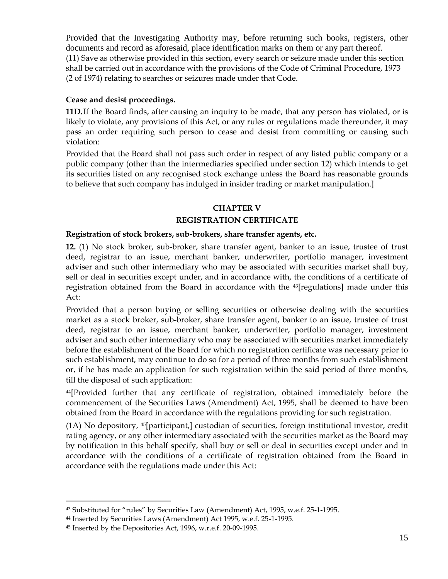Provided that the Investigating Authority may, before returning such books, registers, other documents and record as aforesaid, place identification marks on them or any part thereof. (11) Save as otherwise provided in this section, every search or seizure made under this section shall be carried out in accordance with the provisions of the Code of Criminal Procedure, 1973 (2 of 1974) relating to searches or seizures made under that Code.

#### **Cease and desist proceedings.**

**11D.**If the Board finds, after causing an inquiry to be made, that any person has violated, or is likely to violate, any provisions of this Act, or any rules or regulations made thereunder, it may pass an order requiring such person to cease and desist from committing or causing such violation:

Provided that the Board shall not pass such order in respect of any listed public company or a public company (other than the intermediaries specified under section 12) which intends to get its securities listed on any recognised stock exchange unless the Board has reasonable grounds to believe that such company has indulged in insider trading or market manipulation.]

#### **CHAPTER V**

#### **REGISTRATION CERTIFICATE**

#### **Registration of stock brokers, sub-brokers, share transfer agents, etc.**

**12.** (1) No stock broker, sub-broker, share transfer agent, banker to an issue, trustee of trust deed, registrar to an issue, merchant banker, underwriter, portfolio manager, investment adviser and such other intermediary who may be associated with securities market shall buy, sell or deal in securities except under, and in accordance with, the conditions of a certificate of registration obtained from the Board in accordance with the 43[regulations] made under this Act:

Provided that a person buying or selling securities or otherwise dealing with the securities market as a stock broker, sub-broker, share transfer agent, banker to an issue, trustee of trust deed, registrar to an issue, merchant banker, underwriter, portfolio manager, investment adviser and such other intermediary who may be associated with securities market immediately before the establishment of the Board for which no registration certificate was necessary prior to such establishment, may continue to do so for a period of three months from such establishment or, if he has made an application for such registration within the said period of three months, till the disposal of such application:

<sup>44</sup>[Provided further that any certificate of registration, obtained immediately before the commencement of the Securities Laws (Amendment) Act, 1995, shall be deemed to have been obtained from the Board in accordance with the regulations providing for such registration.

(1A) No depository, 45[participant,] custodian of securities, foreign institutional investor, credit rating agency, or any other intermediary associated with the securities market as the Board may by notification in this behalf specify, shall buy or sell or deal in securities except under and in accordance with the conditions of a certificate of registration obtained from the Board in accordance with the regulations made under this Act:

<sup>&</sup>lt;sup>43</sup> Substituted for "rules" by Securities Law (Amendment) Act, 1995, w.e.f. 25-1-1995.

<sup>44</sup> Inserted by Securities Laws (Amendment) Act 1995, w.e.f. 25-1-1995.

<sup>45</sup> Inserted by the Depositories Act, 1996, w.r.e.f. 20-09-1995.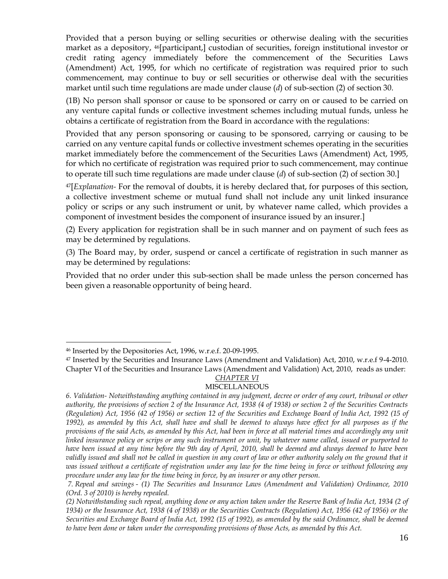Provided that a person buying or selling securities or otherwise dealing with the securities market as a depository, 46[participant,] custodian of securities, foreign institutional investor or credit rating agency immediately before the commencement of the Securities Laws (Amendment) Act, 1995, for which no certificate of registration was required prior to such commencement, may continue to buy or sell securities or otherwise deal with the securities market until such time regulations are made under clause (*d*) of sub-section (2) of section 30.

(1B) No person shall sponsor or cause to be sponsored or carry on or caused to be carried on any venture capital funds or collective investment schemes including mutual funds, unless he obtains a certificate of registration from the Board in accordance with the regulations:

Provided that any person sponsoring or causing to be sponsored, carrying or causing to be carried on any venture capital funds or collective investment schemes operating in the securities market immediately before the commencement of the Securities Laws (Amendment) Act, 1995, for which no certificate of registration was required prior to such commencement, may continue to operate till such time regulations are made under clause (*d*) of sub-section (2) of section 30.]

<sup>47</sup>[*Explanation-* For the removal of doubts, it is hereby declared that, for purposes of this section, a collective investment scheme or mutual fund shall not include any unit linked insurance policy or scrips or any such instrument or unit, by whatever name called, which provides a component of investment besides the component of insurance issued by an insurer.]

(2) Every application for registration shall be in such manner and on payment of such fees as may be determined by regulations.

(3) The Board may, by order, suspend or cancel a certificate of registration in such manner as may be determined by regulations:

Provided that no order under this sub-section shall be made unless the person concerned has been given a reasonable opportunity of being heard.

 $\overline{a}$ 

#### *CHAPTER VI* **MISCELLANEOUS**

<sup>46</sup> Inserted by the Depositories Act, 1996, w.r.e.f. 20-09-1995.

<sup>47</sup> Inserted by the Securities and Insurance Laws (Amendment and Validation) Act, 2010, w.r.e.f 9-4-2010. Chapter VI of the Securities and Insurance Laws (Amendment and Validation) Act, 2010, reads as under:

*<sup>6.</sup> Validation- Notwithstanding anything contained in any judgment, decree or order of any court, tribunal or other authority, the provisions of section 2 of the Insurance Act, 1938 (4 of 1938) or section 2 of the Securities Contracts (Regulation) Act, 1956 (42 of 1956) or section 12 of the Securities and Exchange Board of India Act, 1992 (15 of 1992), as amended by this Act, shall have and shall be deemed to always have effect for all purposes as if the provisions of the said Acts, as amended by this Act, had been in force at all material times and accordingly any unit linked insurance policy or scrips or any such instrument or unit, by whatever name called, issued or purported to have been issued at any time before the 9th day of April, 2010, shall be deemed and always deemed to have been*  validly issued and shall not be called in question in any court of law or other authority solely on the ground that it was issued without a certificate of registration under any law for the time being in force or without following any *procedure under any law for the time being in force, by an insurer or any other person.* 

*<sup>7.</sup> Repeal and savings - (1) The Securities and Insurance Laws (Amendment and Validation) Ordinance, 2010 (Ord. 3 of 2010) is hereby repealed.*

*<sup>(2)</sup> Notwithstanding such repeal, anything done or any action taken under the Reserve Bank of India Act, 1934 (2 of 1934) or the Insurance Act, 1938 (4 of 1938) or the Securities Contracts (Regulation) Act, 1956 (42 of 1956) or the Securities and Exchange Board of India Act, 1992 (15 of 1992), as amended by the said Ordinance, shall be deemed to have been done or taken under the corresponding provisions of those Acts, as amended by this Act.*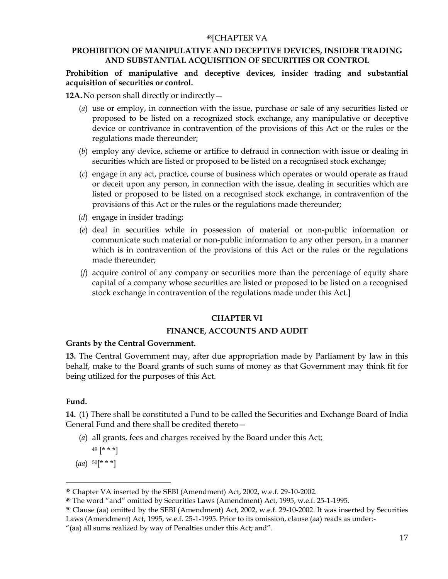#### <sup>48</sup>[CHAPTER VA

#### **PROHIBITION OF MANIPULATIVE AND DECEPTIVE DEVICES, INSIDER TRADING AND SUBSTANTIAL ACQUISITION OF SECURITIES OR CONTROL**

#### **Prohibition of manipulative and deceptive devices, insider trading and substantial acquisition of securities or control.**

**12A.** No person shall directly or indirectly—

- (*a*) use or employ, in connection with the issue, purchase or sale of any securities listed or proposed to be listed on a recognized stock exchange, any manipulative or deceptive device or contrivance in contravention of the provisions of this Act or the rules or the regulations made thereunder;
- (*b*) employ any device, scheme or artifice to defraud in connection with issue or dealing in securities which are listed or proposed to be listed on a recognised stock exchange;
- (*c*) engage in any act, practice, course of business which operates or would operate as fraud or deceit upon any person, in connection with the issue, dealing in securities which are listed or proposed to be listed on a recognised stock exchange, in contravention of the provisions of this Act or the rules or the regulations made thereunder;
- (*d*) engage in insider trading;
- (*e*) deal in securities while in possession of material or non-public information or communicate such material or non-public information to any other person, in a manner which is in contravention of the provisions of this Act or the rules or the regulations made thereunder;
- (*f*) acquire control of any company or securities more than the percentage of equity share capital of a company whose securities are listed or proposed to be listed on a recognised stock exchange in contravention of the regulations made under this Act.]

#### **CHAPTER VI**

#### **FINANCE, ACCOUNTS AND AUDIT**

#### **Grants by the Central Government.**

**13.** The Central Government may, after due appropriation made by Parliament by law in this behalf, make to the Board grants of such sums of money as that Government may think fit for being utilized for the purposes of this Act.

#### **Fund.**

 $\overline{a}$ 

**14.** (1) There shall be constituted a Fund to be called the Securities and Exchange Board of India General Fund and there shall be credited thereto—

(*a*) all grants, fees and charges received by the Board under this Act;

<sup>49</sup> [\* \* \*] (*aa*) <sup>50</sup>[\* \* \*]

<sup>48</sup> Chapter VA inserted by the SEBI (Amendment) Act, 2002, w.e.f. 29-10-2002.

<sup>&</sup>lt;sup>49</sup> The word "and" omitted by Securities Laws (Amendment) Act, 1995, w.e.f. 25-1-1995.

<sup>&</sup>lt;sup>50</sup> Clause (aa) omitted by the SEBI (Amendment) Act, 2002, w.e.f. 29-10-2002. It was inserted by Securities Laws (Amendment) Act, 1995, w.e.f. 25-1-1995. Prior to its omission, clause (aa) reads as under:-

<sup>&</sup>quot;(aa) all sums realized by way of Penalties under this Act; and".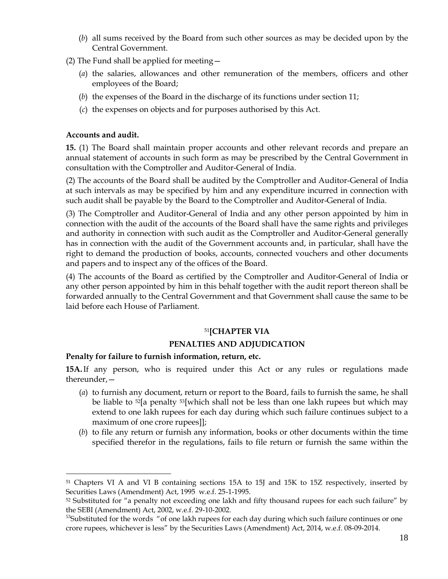(*b*) all sums received by the Board from such other sources as may be decided upon by the Central Government.

(2) The Fund shall be applied for meeting—

- (*a*) the salaries, allowances and other remuneration of the members, officers and other employees of the Board;
- (*b*) the expenses of the Board in the discharge of its functions under section 11;
- (*c*) the expenses on objects and for purposes authorised by this Act.

#### **Accounts and audit.**

 $\overline{a}$ 

**15.** (1) The Board shall maintain proper accounts and other relevant records and prepare an annual statement of accounts in such form as may be prescribed by the Central Government in consultation with the Comptroller and Auditor-General of India.

(2) The accounts of the Board shall be audited by the Comptroller and Auditor-General of India at such intervals as may be specified by him and any expenditure incurred in connection with such audit shall be payable by the Board to the Comptroller and Auditor-General of India.

(3) The Comptroller and Auditor-General of India and any other person appointed by him in connection with the audit of the accounts of the Board shall have the same rights and privileges and authority in connection with such audit as the Comptroller and Auditor-General generally has in connection with the audit of the Government accounts and, in particular, shall have the right to demand the production of books, accounts, connected vouchers and other documents and papers and to inspect any of the offices of the Board.

(4) The accounts of the Board as certified by the Comptroller and Auditor-General of India or any other person appointed by him in this behalf together with the audit report thereon shall be forwarded annually to the Central Government and that Government shall cause the same to be laid before each House of Parliament.

#### <sup>51</sup>**[CHAPTER VIA**

#### **PENALTIES AND ADJUDICATION**

#### **Penalty for failure to furnish information, return, etc.**

**15A.**If any person, who is required under this Act or any rules or regulations made thereunder,—

- (*a*) to furnish any document, return or report to the Board, fails to furnish the same, he shall be liable to 52[a penalty 53[which shall not be less than one lakh rupees but which may extend to one lakh rupees for each day during which such failure continues subject to a maximum of one crore rupees]];
- (*b*) to file any return or furnish any information, books or other documents within the time specified therefor in the regulations, fails to file return or furnish the same within the

<sup>51</sup> Chapters VI A and VI B containing sections 15A to 15J and 15K to 15Z respectively, inserted by Securities Laws (Amendment) Act, 1995 w.e.f. 25-1-1995.

 $52$  Substituted for "a penalty not exceeding one lakh and fifty thousand rupees for each such failure" by the SEBI (Amendment) Act, 2002, w.e.f. 29-10-2002.

 $53$ Substituted for the words "of one lakh rupees for each day during which such failure continues or one crore rupees, whichever is less" by the Securities Laws (Amendment) Act, 2014, w.e.f. 08-09-2014.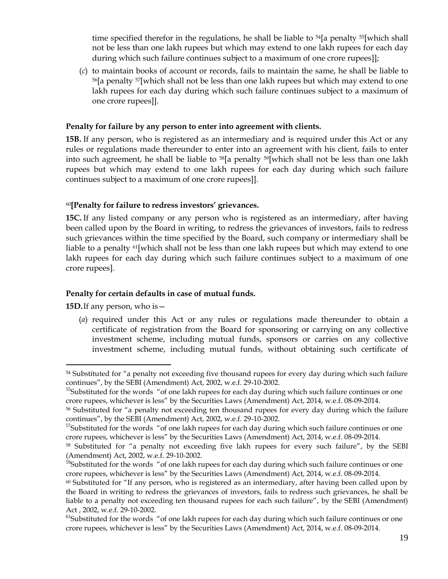time specified therefor in the regulations, he shall be liable to  $54$ [a penalty  $55$ [which shall] not be less than one lakh rupees but which may extend to one lakh rupees for each day during which such failure continues subject to a maximum of one crore rupees]];

(*c*) to maintain books of account or records, fails to maintain the same, he shall be liable to <sup>56</sup>[a penalty 57[which shall not be less than one lakh rupees but which may extend to one lakh rupees for each day during which such failure continues subject to a maximum of one crore rupees]].

#### **Penalty for failure by any person to enter into agreement with clients.**

**15B.** If any person, who is registered as an intermediary and is required under this Act or any rules or regulations made thereunder to enter into an agreement with his client, fails to enter into such agreement, he shall be liable to 58[a penalty 59[which shall not be less than one lakh rupees but which may extend to one lakh rupees for each day during which such failure continues subject to a maximum of one crore rupees]].

#### <sup>60</sup>**[Penalty for failure to redress investors' grievances.**

**15C.** If any listed company or any person who is registered as an intermediary, after having been called upon by the Board in writing, to redress the grievances of investors, fails to redress such grievances within the time specified by the Board, such company or intermediary shall be liable to a penalty <sup>61</sup>[which shall not be less than one lakh rupees but which may extend to one lakh rupees for each day during which such failure continues subject to a maximum of one crore rupees].

#### **Penalty for certain defaults in case of mutual funds.**

**15D.**If any person, who is—

 $\overline{a}$ 

(*a*) required under this Act or any rules or regulations made thereunder to obtain a certificate of registration from the Board for sponsoring or carrying on any collective investment scheme, including mutual funds, sponsors or carries on any collective investment scheme, including mutual funds, without obtaining such certificate of

<sup>54</sup> Substituted for "a penalty not exceeding five thousand rupees for every day during which such failure continues", by the SEBI (Amendment) Act, 2002, w.e.f. 29-10-2002.

<sup>&</sup>lt;sup>55</sup>Substituted for the words "of one lakh rupees for each day during which such failure continues or one crore rupees, whichever is less‖ by the Securities Laws (Amendment) Act, 2014, w.e.f. 08-09-2014.

<sup>56</sup> Substituted for "a penalty not exceeding ten thousand rupees for every day during which the failure continues", by the SEBI (Amendment) Act, 2002, w.e.f. 29-10-2002.

<sup>57</sup>Substituted for the words "of one lakh rupees for each day during which such failure continues or one crore rupees, whichever is less‖ by the Securities Laws (Amendment) Act, 2014, w.e.f. 08-09-2014.

<sup>58</sup> Substituted for "a penalty not exceeding five lakh rupees for every such failure", by the SEBI (Amendment) Act, 2002, w.e.f. 29-10-2002.

<sup>59</sup>Substituted for the words "of one lakh rupees for each day during which such failure continues or one crore rupees, whichever is less‖ by the Securities Laws (Amendment) Act, 2014, w.e.f. 08-09-2014.

 $60$  Substituted for "If any person, who is registered as an intermediary, after having been called upon by the Board in writing to redress the grievances of investors, fails to redress such grievances, he shall be liable to a penalty not exceeding ten thousand rupees for each such failure", by the SEBI (Amendment) Act , 2002, w.e.f. 29-10-2002.

<sup>&</sup>lt;sup>61</sup>Substituted for the words "of one lakh rupees for each day during which such failure continues or one crore rupees, whichever is less" by the Securities Laws (Amendment) Act, 2014, w.e.f. 08-09-2014.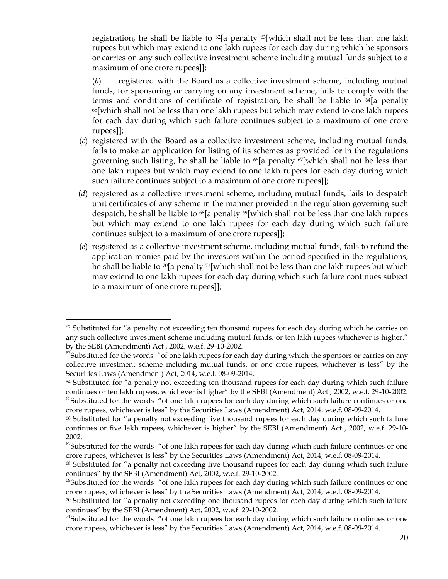registration, he shall be liable to <sup>62</sup>[a penalty <sup>63</sup>[which shall not be less than one lakh rupees but which may extend to one lakh rupees for each day during which he sponsors or carries on any such collective investment scheme including mutual funds subject to a maximum of one crore rupees]];

(*b*) registered with the Board as a collective investment scheme, including mutual funds, for sponsoring or carrying on any investment scheme, fails to comply with the terms and conditions of certificate of registration, he shall be liable to 64[a penalty  $65$ [which shall not be less than one lakh rupees but which may extend to one lakh rupees for each day during which such failure continues subject to a maximum of one crore rupees]];

- (*c*) registered with the Board as a collective investment scheme, including mutual funds, fails to make an application for listing of its schemes as provided for in the regulations governing such listing, he shall be liable to  $^{66}$ [a penalty  $^{67}$ [which shall not be less than one lakh rupees but which may extend to one lakh rupees for each day during which such failure continues subject to a maximum of one crore rupees]];
- (*d*) registered as a collective investment scheme, including mutual funds, fails to despatch unit certificates of any scheme in the manner provided in the regulation governing such despatch, he shall be liable to <sup>68</sup>[a penalty <sup>69</sup>[which shall not be less than one lakh rupees but which may extend to one lakh rupees for each day during which such failure continues subject to a maximum of one crore rupees]];
- (*e*) registered as a collective investment scheme, including mutual funds, fails to refund the application monies paid by the investors within the period specified in the regulations, he shall be liable to  $\frac{70}{6}$  penalty  $\frac{71}{1}$  which shall not be less than one lakh rupees but which may extend to one lakh rupees for each day during which such failure continues subject to a maximum of one crore rupees]];

 $62$  Substituted for "a penalty not exceeding ten thousand rupees for each day during which he carries on any such collective investment scheme including mutual funds, or ten lakh rupees whichever is higher." by the SEBI (Amendment) Act , 2002, w.e.f. 29-10-2002.

 $^{63}$ Substituted for the words "of one lakh rupees for each day during which the sponsors or carries on any collective investment scheme including mutual funds, or one crore rupees, whichever is less‖ by the Securities Laws (Amendment) Act, 2014, w.e.f. 08-09-2014.

 $64$  Substituted for "a penalty not exceeding ten thousand rupees for each day during which such failure continues or ten lakh rupees, whichever is higher" by the SEBI (Amendment) Act, 2002, w.e.f. 29-10-2002.  $<sup>65</sup>$ Substituted for the words "of one lakh rupees for each day during which such failure continues or one</sup> crore rupees, whichever is less" by the Securities Laws (Amendment) Act, 2014, w.e.f. 08-09-2014.

<sup>&</sup>lt;sup>66</sup> Substituted for "a penalty not exceeding five thousand rupees for each day during which such failure continues or five lakh rupees, whichever is higher" by the SEBI (Amendment) Act , 2002, w.e.f. 29-10-2002.

 $67$ Substituted for the words "of one lakh rupees for each day during which such failure continues or one crore rupees, whichever is less‖ by the Securities Laws (Amendment) Act, 2014, w.e.f. 08-09-2014.

<sup>&</sup>lt;sup>68</sup> Substituted for "a penalty not exceeding five thousand rupees for each day during which such failure continues" by the SEBI (Amendment) Act, 2002, w.e.f. 29-10-2002.

 $69$ Substituted for the words "of one lakh rupees for each day during which such failure continues or one crore rupees, whichever is less‖ by the Securities Laws (Amendment) Act, 2014, w.e.f. 08-09-2014.

 $70$  Substituted for "a penalty not exceeding one thousand rupees for each day during which such failure continues" by the SEBI (Amendment) Act, 2002, w.e.f. 29-10-2002.

<sup>&</sup>lt;sup>71</sup>Substituted for the words "of one lakh rupees for each day during which such failure continues or one crore rupees, whichever is less" by the Securities Laws (Amendment) Act, 2014, w.e.f. 08-09-2014.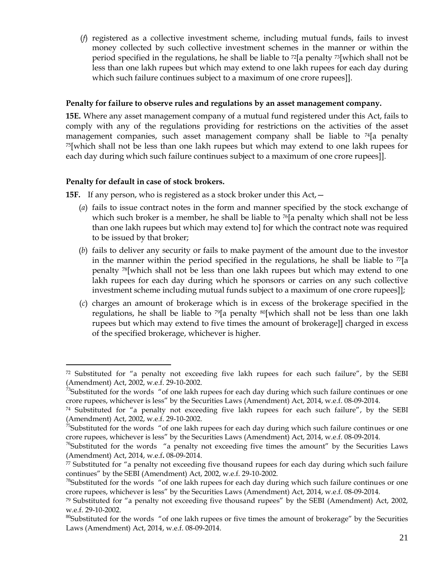(*f*) registered as a collective investment scheme, including mutual funds, fails to invest money collected by such collective investment schemes in the manner or within the period specified in the regulations, he shall be liable to  $^{72}$ [a penalty  $^{73}$ [which shall not be less than one lakh rupees but which may extend to one lakh rupees for each day during which such failure continues subject to a maximum of one crore rupees]].

#### **Penalty for failure to observe rules and regulations by an asset management company.**

**15E.** Where any asset management company of a mutual fund registered under this Act, fails to comply with any of the regulations providing for restrictions on the activities of the asset management companies, such asset management company shall be liable to  $^{74}$ [a penalty  $75$ [which shall not be less than one lakh rupees but which may extend to one lakh rupees for each day during which such failure continues subject to a maximum of one crore rupees]].

#### **Penalty for default in case of stock brokers.**

 $\overline{a}$ 

**15F.** If any person, who is registered as a stock broker under this Act,  $-$ 

- (*a*) fails to issue contract notes in the form and manner specified by the stock exchange of which such broker is a member, he shall be liable to <sup>76</sup>[a penalty which shall not be less than one lakh rupees but which may extend to] for which the contract note was required to be issued by that broker;
- (*b*) fails to deliver any security or fails to make payment of the amount due to the investor in the manner within the period specified in the regulations, he shall be liable to  $\frac{7}{1}$ a penalty 78[which shall not be less than one lakh rupees but which may extend to one lakh rupees for each day during which he sponsors or carries on any such collective investment scheme including mutual funds subject to a maximum of one crore rupees]];
- (*c*) charges an amount of brokerage which is in excess of the brokerage specified in the regulations, he shall be liable to  $\frac{79}{2}$  penalty  $\frac{80}{2}$  which shall not be less than one lakh rupees but which may extend to five times the amount of brokerage]] charged in excess of the specified brokerage, whichever is higher.

 $72$  Substituted for "a penalty not exceeding five lakh rupees for each such failure", by the SEBI (Amendment) Act, 2002, w.e.f. 29-10-2002.

<sup>&</sup>lt;sup>73</sup>Substituted for the words "of one lakh rupees for each day during which such failure continues or one crore rupees, whichever is less" by the Securities Laws (Amendment) Act, 2014, w.e.f. 08-09-2014.

<sup>74</sup> Substituted for "a penalty not exceeding five lakh rupees for each such failure", by the SEBI (Amendment) Act, 2002, w.e.f. 29-10-2002.

 $75$ Substituted for the words "of one lakh rupees for each day during which such failure continues or one crore rupees, whichever is less" by the Securities Laws (Amendment) Act, 2014, w.e.f. 08-09-2014.

 $76$ Substituted for the words "a penalty not exceeding five times the amount" by the Securities Laws (Amendment) Act, 2014, w.e.f**.** 08-09-2014.

 $77$  Substituted for "a penalty not exceeding five thousand rupees for each day during which such failure continues" by the SEBI (Amendment) Act, 2002, w.e.f. 29-10-2002.

 $78$ Substituted for the words "of one lakh rupees for each day during which such failure continues or one crore rupees, whichever is less‖ by the Securities Laws (Amendment) Act, 2014, w.e.f. 08-09-2014.

 $79$  Substituted for "a penalty not exceeding five thousand rupees" by the SEBI (Amendment) Act, 2002, w.e.f. 29-10-2002.

<sup>&</sup>lt;sup>80</sup>Substituted for the words "of one lakh rupees or five times the amount of brokerage" by the Securities Laws (Amendment) Act, 2014, w.e.f. 08-09-2014.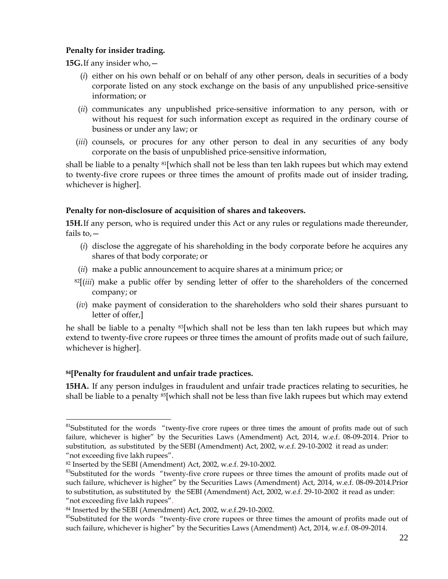# **Penalty for insider trading.**

**15G.**If any insider who,—

- (*i*) either on his own behalf or on behalf of any other person, deals in securities of a body corporate listed on any stock exchange on the basis of any unpublished price-sensitive information; or
- (*ii*) communicates any unpublished price-sensitive information to any person, with or without his request for such information except as required in the ordinary course of business or under any law; or
- (*iii*) counsels, or procures for any other person to deal in any securities of any body corporate on the basis of unpublished price-sensitive information,

shall be liable to a penalty <sup>81</sup>[which shall not be less than ten lakh rupees but which may extend to twenty-five crore rupees or three times the amount of profits made out of insider trading, whichever is higher].

### **Penalty for non-disclosure of acquisition of shares and takeovers.**

**15H.**If any person, who is required under this Act or any rules or regulations made thereunder, fails to,—

- (*i*) disclose the aggregate of his shareholding in the body corporate before he acquires any shares of that body corporate; or
- (*ii*) make a public announcement to acquire shares at a minimum price; or
- <sup>82</sup>[(*iii*) make a public offer by sending letter of offer to the shareholders of the concerned company; or
- (*iv*) make payment of consideration to the shareholders who sold their shares pursuant to letter of offer,]

he shall be liable to a penalty <sup>85</sup>[which shall not be less than ten lakh rupees but which may extend to twenty-five crore rupees or three times the amount of profits made out of such failure, whichever is higher].

# **<sup>84</sup>[Penalty for fraudulent and unfair trade practices.**

 $\overline{a}$ 

**15HA.** If any person indulges in fraudulent and unfair trade practices relating to securities, he shall be liable to a penalty <sup>85</sup>[which shall not be less than five lakh rupees but which may extend

<sup>&</sup>lt;sup>81</sup>Substituted for the words "twenty-five crore rupees or three times the amount of profits made out of such failure, whichever is higher" by the Securities Laws (Amendment) Act, 2014, w.e.f. 08-09-2014. Prior to substitution, as substituted by the SEBI (Amendment) Act, 2002, w.e.f. 29-10-2002 it read as under: "not exceeding five lakh rupees".

<sup>82</sup> Inserted by the SEBI (Amendment) Act, 2002, w.e.f. 29-10-2002.

<sup>&</sup>lt;sup>83</sup>Substituted for the words "twenty-five crore rupees or three times the amount of profits made out of such failure, whichever is higher" by the Securities Laws (Amendment) Act, 2014, w.e.f. 08-09-2014.Prior to substitution, as substituted by the SEBI (Amendment) Act, 2002, w.e.f. 29-10-2002 it read as under: " not exceeding five lakh rupees".

<sup>84</sup> Inserted by the SEBI (Amendment) Act, 2002, w.e.f.29-10-2002.

<sup>&</sup>lt;sup>85</sup>Substituted for the words "twenty-five crore rupees or three times the amount of profits made out of such failure, whichever is higher" by the Securities Laws (Amendment) Act, 2014, w.e.f. 08-09-2014.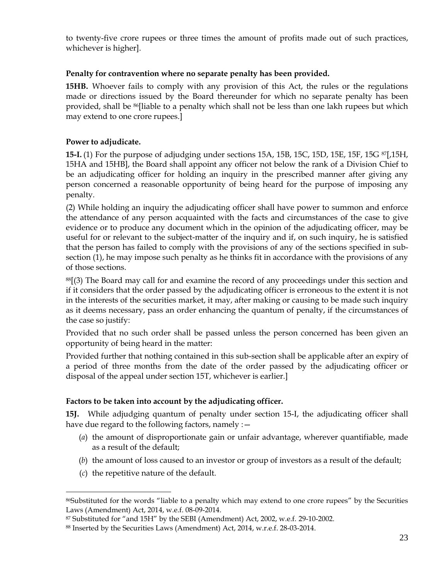to twenty-five crore rupees or three times the amount of profits made out of such practices, whichever is higher].

# **Penalty for contravention where no separate penalty has been provided.**

**15HB.** Whoever fails to comply with any provision of this Act, the rules or the regulations made or directions issued by the Board thereunder for which no separate penalty has been provided, shall be 86[liable to a penalty which shall not be less than one lakh rupees but which may extend to one crore rupees.]

# **Power to adjudicate.**

**15-I.** (1) For the purpose of adjudging under sections 15A, 15B, 15C, 15D, 15E, 15F, 15G 87[,15H, 15HA and 15HB], the Board shall appoint any officer not below the rank of a Division Chief to be an adjudicating officer for holding an inquiry in the prescribed manner after giving any person concerned a reasonable opportunity of being heard for the purpose of imposing any penalty.

(2) While holding an inquiry the adjudicating officer shall have power to summon and enforce the attendance of any person acquainted with the facts and circumstances of the case to give evidence or to produce any document which in the opinion of the adjudicating officer, may be useful for or relevant to the subject-matter of the inquiry and if, on such inquiry, he is satisfied that the person has failed to comply with the provisions of any of the sections specified in subsection (1), he may impose such penalty as he thinks fit in accordance with the provisions of any of those sections.

 $88(3)$  The Board may call for and examine the record of any proceedings under this section and if it considers that the order passed by the adjudicating officer is erroneous to the extent it is not in the interests of the securities market, it may, after making or causing to be made such inquiry as it deems necessary, pass an order enhancing the quantum of penalty, if the circumstances of the case so justify:

Provided that no such order shall be passed unless the person concerned has been given an opportunity of being heard in the matter:

Provided further that nothing contained in this sub-section shall be applicable after an expiry of a period of three months from the date of the order passed by the adjudicating officer or disposal of the appeal under section 15T, whichever is earlier.]

# **Factors to be taken into account by the adjudicating officer.**

**15J.** While adjudging quantum of penalty under section 15-I, the adjudicating officer shall have due regard to the following factors, namely :—

- (*a*) the amount of disproportionate gain or unfair advantage, wherever quantifiable, made as a result of the default;
- (*b*) the amount of loss caused to an investor or group of investors as a result of the default;
- (*c*) the repetitive nature of the default.

<sup>86</sup>Substituted for the words "liable to a penalty which may extend to one crore rupees" by the Securities Laws (Amendment) Act, 2014, w.e.f. 08-09-2014.

<sup>87</sup> Substituted for "and 15H" by the SEBI (Amendment) Act, 2002, w.e.f. 29-10-2002.

<sup>88</sup> Inserted by the Securities Laws (Amendment) Act, 2014, w.r.e.f. 28-03-2014.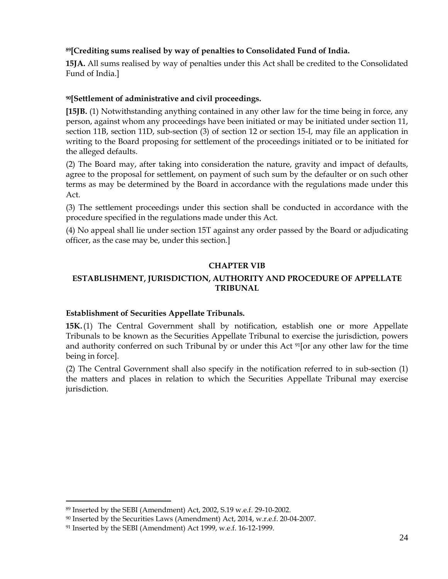# **<sup>89</sup>[Crediting sums realised by way of penalties to Consolidated Fund of India.**

**15JA.** All sums realised by way of penalties under this Act shall be credited to the Consolidated Fund of India.]

# **<sup>90</sup>[Settlement of administrative and civil proceedings.**

**[15JB.** (1) Notwithstanding anything contained in any other law for the time being in force, any person, against whom any proceedings have been initiated or may be initiated under section 11, section 11B, section 11D, sub-section (3) of section 12 or section 15-I, may file an application in writing to the Board proposing for settlement of the proceedings initiated or to be initiated for the alleged defaults.

(2) The Board may, after taking into consideration the nature, gravity and impact of defaults, agree to the proposal for settlement, on payment of such sum by the defaulter or on such other terms as may be determined by the Board in accordance with the regulations made under this Act.

(3) The settlement proceedings under this section shall be conducted in accordance with the procedure specified in the regulations made under this Act.

(4) No appeal shall lie under section 15T against any order passed by the Board or adjudicating officer, as the case may be, under this section.]

# **CHAPTER VIB**

# **ESTABLISHMENT, JURISDICTION, AUTHORITY AND PROCEDURE OF APPELLATE TRIBUNAL**

#### **Establishment of Securities Appellate Tribunals.**

**15K.**(1) The Central Government shall by notification, establish one or more Appellate Tribunals to be known as the Securities Appellate Tribunal to exercise the jurisdiction, powers and authority conferred on such Tribunal by or under this Act  $91$  [or any other law for the time being in force].

(2) The Central Government shall also specify in the notification referred to in sub-section (1) the matters and places in relation to which the Securities Appellate Tribunal may exercise jurisdiction.

<sup>89</sup> Inserted by the SEBI (Amendment) Act, 2002, S.19 w.e.f. 29-10-2002.

<sup>90</sup> Inserted by the Securities Laws (Amendment) Act, 2014, w.r.e.f. 20-04-2007.

<sup>91</sup> Inserted by the SEBI (Amendment) Act 1999, w.e.f. 16-12-1999.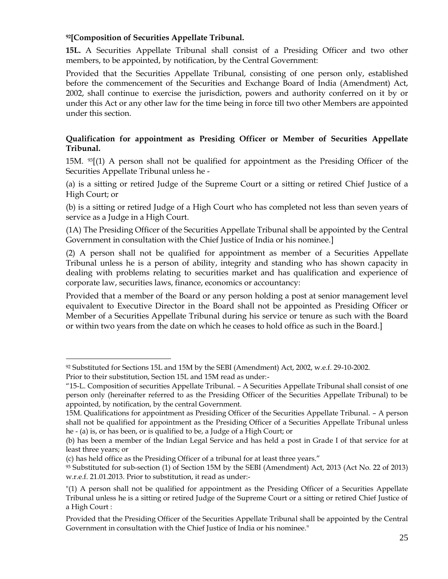# **<sup>92</sup>[Composition of Securities Appellate Tribunal.**

**15L.** A Securities Appellate Tribunal shall consist of a Presiding Officer and two other members, to be appointed, by notification, by the Central Government:

Provided that the Securities Appellate Tribunal, consisting of one person only, established before the commencement of the Securities and Exchange Board of India (Amendment) Act, 2002, shall continue to exercise the jurisdiction, powers and authority conferred on it by or under this Act or any other law for the time being in force till two other Members are appointed under this section.

# **Qualification for appointment as Presiding Officer or Member of Securities Appellate Tribunal.**

15M.  $\mathcal{B}([1])$  A person shall not be qualified for appointment as the Presiding Officer of the Securities Appellate Tribunal unless he -

(a) is a sitting or retired Judge of the Supreme Court or a sitting or retired Chief Justice of a High Court; or

(b) is a sitting or retired Judge of a High Court who has completed not less than seven years of service as a Judge in a High Court.

(1A) The Presiding Officer of the Securities Appellate Tribunal shall be appointed by the Central Government in consultation with the Chief Justice of India or his nominee.]

(2) A person shall not be qualified for appointment as member of a Securities Appellate Tribunal unless he is a person of ability, integrity and standing who has shown capacity in dealing with problems relating to securities market and has qualification and experience of corporate law, securities laws, finance, economics or accountancy:

Provided that a member of the Board or any person holding a post at senior management level equivalent to Executive Director in the Board shall not be appointed as Presiding Officer or Member of a Securities Appellate Tribunal during his service or tenure as such with the Board or within two years from the date on which he ceases to hold office as such in the Board.]

<sup>92</sup> Substituted for Sections 15L and 15M by the SEBI (Amendment) Act, 2002, w.e.f. 29-10-2002.

Prior to their substitution, Section 15L and 15M read as under:-

<sup>―15</sup>-L. Composition of securities Appellate Tribunal. – A Securities Appellate Tribunal shall consist of one person only (hereinafter referred to as the Presiding Officer of the Securities Appellate Tribunal) to be appointed, by notification, by the central Government.

<sup>15</sup>M. Qualifications for appointment as Presiding Officer of the Securities Appellate Tribunal. – A person shall not be qualified for appointment as the Presiding Officer of a Securities Appellate Tribunal unless he - (a) is, or has been, or is qualified to be, a Judge of a High Court; or

<sup>(</sup>b) has been a member of the Indian Legal Service and has held a post in Grade I of that service for at least three years; or

<sup>(</sup>c) has held office as the Presiding Officer of a tribunal for at least three years."

<sup>93</sup> Substituted for sub-section (1) of Section 15M by the SEBI (Amendment) Act, 2013 (Act No. 22 of 2013) w.r.e.f. 21.01.2013. Prior to substitution, it read as under:-

<sup>&</sup>quot;(1) A person shall not be qualified for appointment as the Presiding Officer of a Securities Appellate Tribunal unless he is a sitting or retired Judge of the Supreme Court or a sitting or retired Chief Justice of a High Court :

Provided that the Presiding Officer of the Securities Appellate Tribunal shall be appointed by the Central Government in consultation with the Chief Justice of India or his nominee."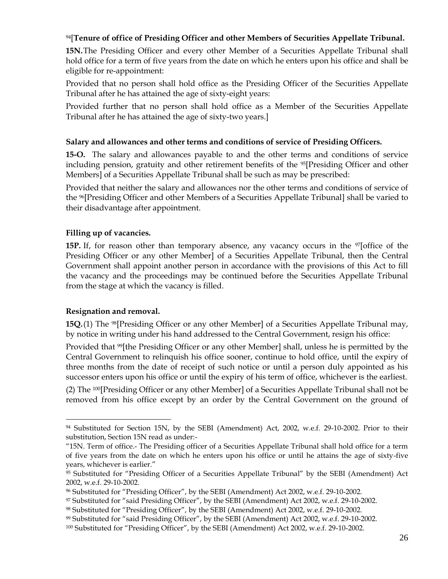# <sup>94</sup>[**Tenure of office of Presiding Officer and other Members of Securities Appellate Tribunal.**

**15N.**The Presiding Officer and every other Member of a Securities Appellate Tribunal shall hold office for a term of five years from the date on which he enters upon his office and shall be eligible for re-appointment:

Provided that no person shall hold office as the Presiding Officer of the Securities Appellate Tribunal after he has attained the age of sixty-eight years:

Provided further that no person shall hold office as a Member of the Securities Appellate Tribunal after he has attained the age of sixty-two years.]

# **Salary and allowances and other terms and conditions of service of Presiding Officers.**

**15-O.** The salary and allowances payable to and the other terms and conditions of service including pension, gratuity and other retirement benefits of the 95[Presiding Officer and other Members] of a Securities Appellate Tribunal shall be such as may be prescribed:

Provided that neither the salary and allowances nor the other terms and conditions of service of the 96[Presiding Officer and other Members of a Securities Appellate Tribunal] shall be varied to their disadvantage after appointment.

# **Filling up of vacancies.**

**15P.** If, for reason other than temporary absence, any vacancy occurs in the <sup>97</sup> office of the Presiding Officer or any other Member] of a Securities Appellate Tribunal, then the Central Government shall appoint another person in accordance with the provisions of this Act to fill the vacancy and the proceedings may be continued before the Securities Appellate Tribunal from the stage at which the vacancy is filled.

# **Resignation and removal.**

 $\overline{a}$ 

**15Q.**(1) The 98[Presiding Officer or any other Member] of a Securities Appellate Tribunal may, by notice in writing under his hand addressed to the Central Government, resign his office:

Provided that 99[the Presiding Officer or any other Member] shall, unless he is permitted by the Central Government to relinquish his office sooner, continue to hold office, until the expiry of three months from the date of receipt of such notice or until a person duly appointed as his successor enters upon his office or until the expiry of his term of office, whichever is the earliest.

(2) The 100[Presiding Officer or any other Member] of a Securities Appellate Tribunal shall not be removed from his office except by an order by the Central Government on the ground of

<sup>94</sup> Substituted for Section 15N, by the SEBI (Amendment) Act, 2002, w.e.f. 29-10-2002. Prior to their substitution, Section 15N read as under:-

<sup>―</sup>15N. Term of office.- The Presiding officer of a Securities Appellate Tribunal shall hold office for a term of five years from the date on which he enters upon his office or until he attains the age of sixty-five years, whichever is earlier."

<sup>95</sup> Substituted for "Presiding Officer of a Securities Appellate Tribunal" by the SEBI (Amendment) Act 2002, w.e.f. 29-10-2002.

<sup>%</sup> Substituted for "Presiding Officer", by the SEBI (Amendment) Act 2002, w.e.f. 29-10-2002.

<sup>97</sup> Substituted for "said Presiding Officer", by the SEBI (Amendment) Act 2002, w.e.f. 29-10-2002.

<sup>98</sup> Substituted for "Presiding Officer", by the SEBI (Amendment) Act 2002, w.e.f. 29-10-2002.

<sup>99</sup> Substituted for "said Presiding Officer", by the SEBI (Amendment) Act 2002, w.e.f. 29-10-2002.

<sup>100</sup> Substituted for "Presiding Officer", by the SEBI (Amendment) Act 2002, w.e.f. 29-10-2002.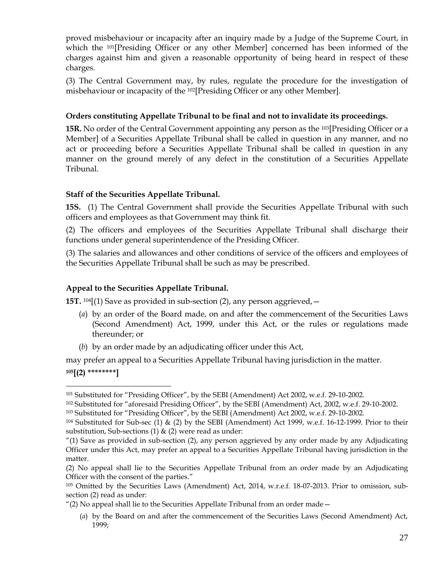proved misbehaviour or incapacity after an inquiry made by a Judge of the Supreme Court, in which the <sup>101</sup>[Presiding Officer or any other Member] concerned has been informed of the charges against him and given a reasonable opportunity of being heard in respect of these charges.

(3) The Central Government may, by rules, regulate the procedure for the investigation of misbehaviour or incapacity of the 102[Presiding Officer or any other Member].

# **Orders constituting Appellate Tribunal to be final and not to invalidate its proceedings.**

**15R.** No order of the Central Government appointing any person as the <sup>103</sup>[Presiding Officer or a Member] of a Securities Appellate Tribunal shall be called in question in any manner, and no act or proceeding before a Securities Appellate Tribunal shall be called in question in any manner on the ground merely of any defect in the constitution of a Securities Appellate Tribunal.

# **Staff of the Securities Appellate Tribunal.**

**15S.** (1) The Central Government shall provide the Securities Appellate Tribunal with such officers and employees as that Government may think fit.

(2) The officers and employees of the Securities Appellate Tribunal shall discharge their functions under general superintendence of the Presiding Officer.

(3) The salaries and allowances and other conditions of service of the officers and employees of the Securities Appellate Tribunal shall be such as may be prescribed.

# **Appeal to the Securities Appellate Tribunal.**

 $\overline{a}$ 

**15T.**  $104$ [(1) Save as provided in sub-section (2), any person aggrieved,  $-$ 

- (*a*) by an order of the Board made, on and after the commencement of the Securities Laws (Second Amendment) Act, 1999, under this Act, or the rules or regulations made thereunder; or
- (*b*) by an order made by an adjudicating officer under this Act,

may prefer an appeal to a Securities Appellate Tribunal having jurisdiction in the matter. **<sup>105</sup>[(2) \*\*\*\*\*\*\*\*]**

<sup>101</sup> Substituted for "Presiding Officer", by the SEBI (Amendment) Act 2002, w.e.f. 29-10-2002.

<sup>102</sup> Substituted for "aforesaid Presiding Officer", by the SEBI (Amendment) Act, 2002, w.e.f. 29-10-2002.

<sup>103</sup> Substituted for "Presiding Officer", by the SEBI (Amendment) Act 2002, w.e.f. 29-10-2002.

 $104$  Substituted for Sub-sec (1) & (2) by the SEBI (Amendment) Act 1999, w.e.f. 16-12-1999. Prior to their substitution, Sub-sections (1)  $\&$  (2) were read as under:

 $''(1)$  Save as provided in sub-section (2), any person aggrieved by any order made by any Adjudicating Officer under this Act, may prefer an appeal to a Securities Appellate Tribunal having jurisdiction in the matter.

<sup>(2)</sup> No appeal shall lie to the Securities Appellate Tribunal from an order made by an Adjudicating Officer with the consent of the parties."

<sup>105</sup> Omitted by the Securities Laws (Amendment) Act, 2014, w.r.e.f. 18-07-2013. Prior to omission, subsection (2) read as under:

<sup>&</sup>quot;(2) No appeal shall lie to the Securities Appellate Tribunal from an order made  $-$ 

<sup>(</sup>*a*) by the Board on and after the commencement of the Securities Laws (Second Amendment) Act, 1999;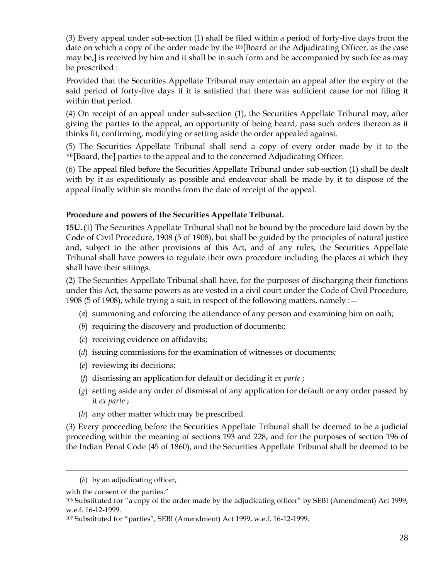(3) Every appeal under sub-section (1) shall be filed within a period of forty-five days from the date on which a copy of the order made by the 106[Board or the Adjudicating Officer, as the case may be,] is received by him and it shall be in such form and be accompanied by such fee as may be prescribed :

Provided that the Securities Appellate Tribunal may entertain an appeal after the expiry of the said period of forty-five days if it is satisfied that there was sufficient cause for not filing it within that period.

(4) On receipt of an appeal under sub-section (1), the Securities Appellate Tribunal may, after giving the parties to the appeal, an opportunity of being heard, pass such orders thereon as it thinks fit, confirming, modifying or setting aside the order appealed against.

(5) The Securities Appellate Tribunal shall send a copy of every order made by it to the <sup>107</sup>[Board, the] parties to the appeal and to the concerned Adjudicating Officer.

(6) The appeal filed before the Securities Appellate Tribunal under sub-section (1) shall be dealt with by it as expeditiously as possible and endeavour shall be made by it to dispose of the appeal finally within six months from the date of receipt of the appeal.

### **Procedure and powers of the Securities Appellate Tribunal.**

**15U.**(1) The Securities Appellate Tribunal shall not be bound by the procedure laid down by the Code of Civil Procedure, 1908 (5 of 1908), but shall be guided by the principles of natural justice and, subject to the other provisions of this Act, and of any rules, the Securities Appellate Tribunal shall have powers to regulate their own procedure including the places at which they shall have their sittings.

(2) The Securities Appellate Tribunal shall have, for the purposes of discharging their functions under this Act, the same powers as are vested in a civil court under the Code of Civil Procedure, 1908 (5 of 1908), while trying a suit, in respect of the following matters, namely :—

- (*a*) summoning and enforcing the attendance of any person and examining him on oath;
- (*b*) requiring the discovery and production of documents;
- (*c*) receiving evidence on affidavits;
- (*d*) issuing commissions for the examination of witnesses or documents;
- (*e*) reviewing its decisions;
- (*f*) dismissing an application for default or deciding it *ex parte* ;
- (*g*) setting aside any order of dismissal of any application for default or any order passed by it *ex parte* ;
- (*h*) any other matter which may be prescribed.

(3) Every proceeding before the Securities Appellate Tribunal shall be deemed to be a judicial proceeding within the meaning of sections 193 and 228, and for the purposes of section 196 of the Indian Penal Code (45 of 1860), and the Securities Appellate Tribunal shall be deemed to be

<sup>(</sup>*b*) by an adjudicating officer,

with the consent of the parties."

 $106$  Substituted for "a copy of the order made by the adjudicating officer" by SEBI (Amendment) Act 1999, w.e.f. 16-12-1999.

<sup>107</sup> Substituted for "parties", SEBI (Amendment) Act 1999, w.e.f. 16-12-1999.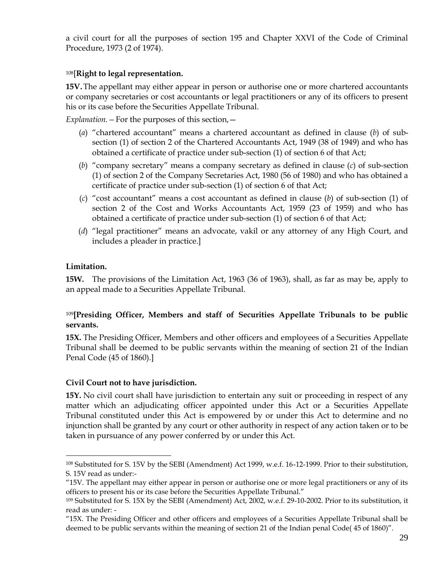a civil court for all the purposes of section 195 and Chapter XXVI of the Code of Criminal Procedure, 1973 (2 of 1974).

# <sup>108</sup>[**Right to legal representation.**

**15V.**The appellant may either appear in person or authorise one or more chartered accountants or company secretaries or cost accountants or legal practitioners or any of its officers to present his or its case before the Securities Appellate Tribunal.

*Explanation.—*For the purposes of this section,—

- $(a)$  "chartered accountant" means a chartered accountant as defined in clause  $(b)$  of subsection (1) of section 2 of the Chartered Accountants Act, 1949 (38 of 1949) and who has obtained a certificate of practice under sub-section (1) of section 6 of that Act;
- (b) "company secretary" means a company secretary as defined in clause  $(c)$  of sub-section (1) of section 2 of the Company Secretaries Act, 1980 (56 of 1980) and who has obtained a certificate of practice under sub-section (1) of section 6 of that Act;
- $(c)$  "cost accountant" means a cost accountant as defined in clause  $(b)$  of sub-section (1) of section 2 of the Cost and Works Accountants Act, 1959 (23 of 1959) and who has obtained a certificate of practice under sub-section (1) of section 6 of that Act;
- (*d*) "legal practitioner" means an advocate, vakil or any attorney of any High Court, and includes a pleader in practice.]

### **Limitation.**

 $\overline{a}$ 

**15W.** The provisions of the Limitation Act, 1963 (36 of 1963), shall, as far as may be, apply to an appeal made to a Securities Appellate Tribunal.

# <sup>109</sup>**[Presiding Officer, Members and staff of Securities Appellate Tribunals to be public servants.**

**15X.** The Presiding Officer, Members and other officers and employees of a Securities Appellate Tribunal shall be deemed to be public servants within the meaning of section 21 of the Indian Penal Code (45 of 1860).]

#### **Civil Court not to have jurisdiction.**

**15Y.** No civil court shall have jurisdiction to entertain any suit or proceeding in respect of any matter which an adjudicating officer appointed under this Act or a Securities Appellate Tribunal constituted under this Act is empowered by or under this Act to determine and no injunction shall be granted by any court or other authority in respect of any action taken or to be taken in pursuance of any power conferred by or under this Act.

<sup>108</sup> Substituted for S. 15V by the SEBI (Amendment) Act 1999, w.e.f. 16-12-1999. Prior to their substitution, S. 15V read as under:-

<sup>―15</sup>V. The appellant may either appear in person or authorise one or more legal practitioners or any of its officers to present his or its case before the Securities Appellate Tribunal."

<sup>109</sup> Substituted for S. 15X by the SEBI (Amendment) Act, 2002, w.e.f. 29-10-2002. Prior to its substitution, it read as under: -

<sup>―15</sup>X. The Presiding Officer and other officers and employees of a Securities Appellate Tribunal shall be deemed to be public servants within the meaning of section 21 of the Indian penal Code(45 of 1860)".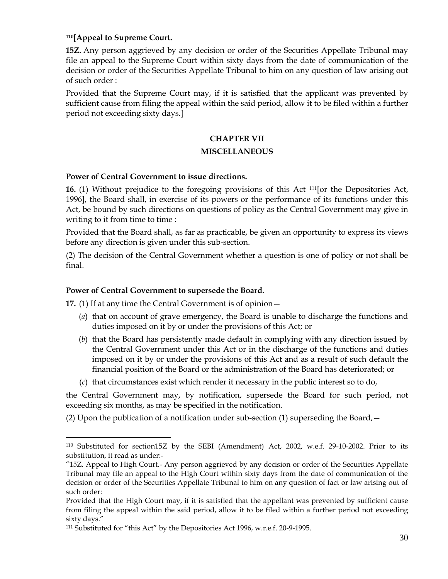#### **<sup>110</sup>[Appeal to Supreme Court.**

**15Z.** Any person aggrieved by any decision or order of the Securities Appellate Tribunal may file an appeal to the Supreme Court within sixty days from the date of communication of the decision or order of the Securities Appellate Tribunal to him on any question of law arising out of such order :

Provided that the Supreme Court may, if it is satisfied that the applicant was prevented by sufficient cause from filing the appeal within the said period, allow it to be filed within a further period not exceeding sixty days.]

### **CHAPTER VII MISCELLANEOUS**

#### **Power of Central Government to issue directions.**

**16.** (1) Without prejudice to the foregoing provisions of this Act <sup>111</sup>[or the Depositories Act, 1996], the Board shall, in exercise of its powers or the performance of its functions under this Act, be bound by such directions on questions of policy as the Central Government may give in writing to it from time to time :

Provided that the Board shall, as far as practicable, be given an opportunity to express its views before any direction is given under this sub-section.

(2) The decision of the Central Government whether a question is one of policy or not shall be final.

# **Power of Central Government to supersede the Board.**

 $\overline{a}$ 

**17.** (1) If at any time the Central Government is of opinion—

- (*a*) that on account of grave emergency, the Board is unable to discharge the functions and duties imposed on it by or under the provisions of this Act; or
- (*b*) that the Board has persistently made default in complying with any direction issued by the Central Government under this Act or in the discharge of the functions and duties imposed on it by or under the provisions of this Act and as a result of such default the financial position of the Board or the administration of the Board has deteriorated; or
- (*c*) that circumstances exist which render it necessary in the public interest so to do,

the Central Government may, by notification, supersede the Board for such period, not exceeding six months, as may be specified in the notification.

(2) Upon the publication of a notification under sub-section  $(1)$  superseding the Board,  $-$ 

<sup>110</sup> Substituted for section15Z by the SEBI (Amendment) Act, 2002, w.e.f. 29-10-2002. Prior to its substitution, it read as under:-

<sup>―</sup>15Z. Appeal to High Court.- Any person aggrieved by any decision or order of the Securities Appellate Tribunal may file an appeal to the High Court within sixty days from the date of communication of the decision or order of the Securities Appellate Tribunal to him on any question of fact or law arising out of such order:

Provided that the High Court may, if it is satisfied that the appellant was prevented by sufficient cause from filing the appeal within the said period, allow it to be filed within a further period not exceeding sixty days."

<sup>111</sup> Substituted for "this Act" by the Depositories Act 1996, w.r.e.f. 20-9-1995.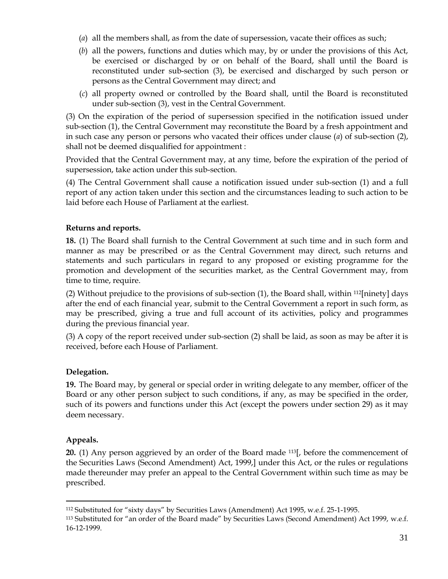- (*a*) all the members shall, as from the date of supersession, vacate their offices as such;
- (*b*) all the powers, functions and duties which may, by or under the provisions of this Act, be exercised or discharged by or on behalf of the Board, shall until the Board is reconstituted under sub-section (3), be exercised and discharged by such person or persons as the Central Government may direct; and
- (*c*) all property owned or controlled by the Board shall, until the Board is reconstituted under sub-section (3), vest in the Central Government.

(3) On the expiration of the period of supersession specified in the notification issued under sub-section (1), the Central Government may reconstitute the Board by a fresh appointment and in such case any person or persons who vacated their offices under clause (*a*) of sub-section (2), shall not be deemed disqualified for appointment :

Provided that the Central Government may, at any time, before the expiration of the period of supersession, take action under this sub-section.

(4) The Central Government shall cause a notification issued under sub-section (1) and a full report of any action taken under this section and the circumstances leading to such action to be laid before each House of Parliament at the earliest.

# **Returns and reports.**

**18.** (1) The Board shall furnish to the Central Government at such time and in such form and manner as may be prescribed or as the Central Government may direct, such returns and statements and such particulars in regard to any proposed or existing programme for the promotion and development of the securities market, as the Central Government may, from time to time, require.

(2) Without prejudice to the provisions of sub-section (1), the Board shall, within  $112$ [ninety] days after the end of each financial year, submit to the Central Government a report in such form, as may be prescribed, giving a true and full account of its activities, policy and programmes during the previous financial year.

(3) A copy of the report received under sub-section (2) shall be laid, as soon as may be after it is received, before each House of Parliament.

# **Delegation.**

**19.** The Board may, by general or special order in writing delegate to any member, officer of the Board or any other person subject to such conditions, if any, as may be specified in the order, such of its powers and functions under this Act (except the powers under section 29) as it may deem necessary.

# **Appeals.**

 $\overline{a}$ 

**20.** (1) Any person aggrieved by an order of the Board made <sup>113</sup>, before the commencement of the Securities Laws (Second Amendment) Act, 1999,] under this Act, or the rules or regulations made thereunder may prefer an appeal to the Central Government within such time as may be prescribed.

<sup>&</sup>lt;sup>112</sup> Substituted for "sixty days" by Securities Laws (Amendment) Act 1995, w.e.f. 25-1-1995.

<sup>113</sup> Substituted for "an order of the Board made" by Securities Laws (Second Amendment) Act 1999, w.e.f. 16-12-1999.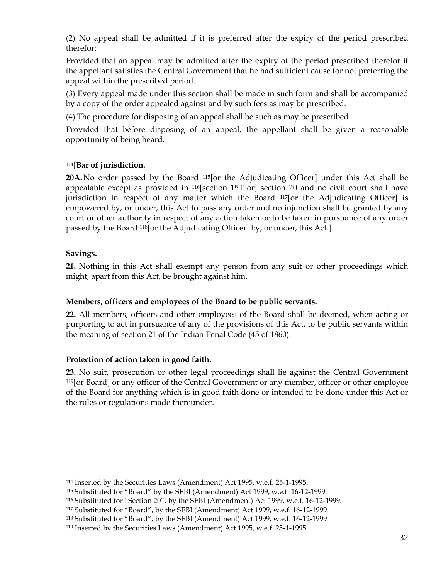(2) No appeal shall be admitted if it is preferred after the expiry of the period prescribed therefor:

Provided that an appeal may be admitted after the expiry of the period prescribed therefor if the appellant satisfies the Central Government that he had sufficient cause for not preferring the appeal within the prescribed period.

(3) Every appeal made under this section shall be made in such form and shall be accompanied by a copy of the order appealed against and by such fees as may be prescribed.

(4) The procedure for disposing of an appeal shall be such as may be prescribed:

Provided that before disposing of an appeal, the appellant shall be given a reasonable opportunity of being heard.

# <sup>114</sup>[**Bar of jurisdiction.**

**20A.** No order passed by the Board  $115$  or the Adjudicating Officer under this Act shall be appealable except as provided in 116[section 15T or] section 20 and no civil court shall have jurisdiction in respect of any matter which the Board 117[or the Adjudicating Officer] is empowered by, or under, this Act to pass any order and no injunction shall be granted by any court or other authority in respect of any action taken or to be taken in pursuance of any order passed by the Board 118[or the Adjudicating Officer] by, or under, this Act.]

# **Savings.**

 $\overline{a}$ 

**21.** Nothing in this Act shall exempt any person from any suit or other proceedings which might, apart from this Act, be brought against him.

# **Members, officers and employees of the Board to be public servants.**

**22.** All members, officers and other employees of the Board shall be deemed, when acting or purporting to act in pursuance of any of the provisions of this Act, to be public servants within the meaning of section 21 of the Indian Penal Code (45 of 1860).

# **Protection of action taken in good faith.**

**23.** No suit, prosecution or other legal proceedings shall lie against the Central Government <sup>119</sup>[or Board] or any officer of the Central Government or any member, officer or other employee of the Board for anything which is in good faith done or intended to be done under this Act or the rules or regulations made thereunder.

<sup>114</sup> Inserted by the Securities Laws (Amendment) Act 1995, w.e.f. 25-1-1995.

<sup>115</sup> Substituted for "Board" by the SEBI (Amendment) Act 1999, w.e.f. 16-12-1999.

<sup>116</sup> Substituted for "Section 20", by the SEBI (Amendment) Act 1999, w.e.f. 16-12-1999.

<sup>117</sup> Substituted for "Board", by the SEBI (Amendment) Act 1999, w.e.f. 16-12-1999.

<sup>118</sup> Substituted for "Board", by the SEBI (Amendment) Act 1999, w.e.f. 16-12-1999.

<sup>119</sup> Inserted by the Securities Laws (Amendment) Act 1995, w.e.f. 25-1-1995.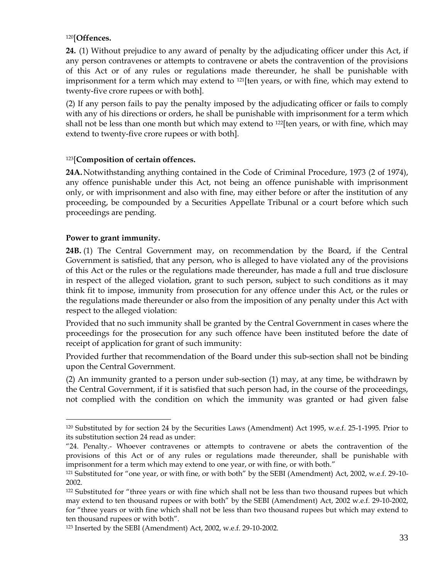# <sup>120</sup>[**Offences.**

**24.** (1) Without prejudice to any award of penalty by the adjudicating officer under this Act, if any person contravenes or attempts to contravene or abets the contravention of the provisions of this Act or of any rules or regulations made thereunder, he shall be punishable with imprisonment for a term which may extend to <sup>121</sup>[ten years, or with fine, which may extend to twenty-five crore rupees or with both].

(2) If any person fails to pay the penalty imposed by the adjudicating officer or fails to comply with any of his directions or orders, he shall be punishable with imprisonment for a term which shall not be less than one month but which may extend to <sup>122</sup>[ten years, or with fine, which may extend to twenty-five crore rupees or with both].

# <sup>123</sup>[**Composition of certain offences.**

**24A.** Notwithstanding anything contained in the Code of Criminal Procedure, 1973 (2 of 1974), any offence punishable under this Act, not being an offence punishable with imprisonment only, or with imprisonment and also with fine, may either before or after the institution of any proceeding, be compounded by a Securities Appellate Tribunal or a court before which such proceedings are pending.

### **Power to grant immunity.**

 $\overline{a}$ 

**24B.** (1) The Central Government may, on recommendation by the Board, if the Central Government is satisfied, that any person, who is alleged to have violated any of the provisions of this Act or the rules or the regulations made thereunder, has made a full and true disclosure in respect of the alleged violation, grant to such person, subject to such conditions as it may think fit to impose, immunity from prosecution for any offence under this Act, or the rules or the regulations made thereunder or also from the imposition of any penalty under this Act with respect to the alleged violation:

Provided that no such immunity shall be granted by the Central Government in cases where the proceedings for the prosecution for any such offence have been instituted before the date of receipt of application for grant of such immunity:

Provided further that recommendation of the Board under this sub-section shall not be binding upon the Central Government.

(2) An immunity granted to a person under sub-section (1) may, at any time, be withdrawn by the Central Government, if it is satisfied that such person had, in the course of the proceedings, not complied with the condition on which the immunity was granted or had given false

<sup>120</sup> Substituted by for section 24 by the Securities Laws (Amendment) Act 1995, w.e.f. 25-1-1995*.* Prior to its substitution section 24 read as under:

<sup>&</sup>quot;24. Penalty.- Whoever contravenes or attempts to contravene or abets the contravention of the provisions of this Act or of any rules or regulations made thereunder, shall be punishable with imprisonment for a term which may extend to one year, or with fine, or with both."

 $121$  Substituted for "one year, or with fine, or with both" by the SEBI (Amendment) Act, 2002, w.e.f. 29-10-2002.

 $122$  Substituted for "three years or with fine which shall not be less than two thousand rupees but which may extend to ten thousand rupees or with both" by the SEBI (Amendment) Act, 2002 w.e.f. 29-10-2002, for "three years or with fine which shall not be less than two thousand rupees but which may extend to ten thousand rupees or with both".

<sup>123</sup> Inserted by the SEBI (Amendment) Act, 2002, w.e.f. 29-10-2002.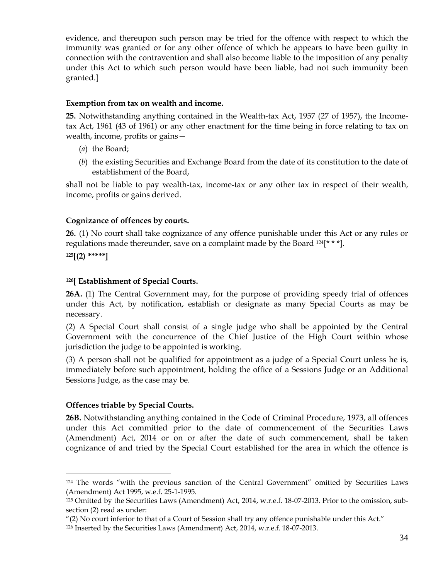evidence, and thereupon such person may be tried for the offence with respect to which the immunity was granted or for any other offence of which he appears to have been guilty in connection with the contravention and shall also become liable to the imposition of any penalty under this Act to which such person would have been liable, had not such immunity been granted.]

#### **Exemption from tax on wealth and income.**

**25.** Notwithstanding anything contained in the Wealth-tax Act, 1957 (27 of 1957), the Incometax Act, 1961 (43 of 1961) or any other enactment for the time being in force relating to tax on wealth, income, profits or gains—

- (*a*) the Board;
- (*b*) the existing Securities and Exchange Board from the date of its constitution to the date of establishment of the Board,

shall not be liable to pay wealth-tax, income-tax or any other tax in respect of their wealth, income, profits or gains derived.

### **Cognizance of offences by courts.**

**26.** (1) No court shall take cognizance of any offence punishable under this Act or any rules or regulations made thereunder, save on a complaint made by the Board  $124[***]$ .

**<sup>125</sup>[(2) \*\*\*\*\*]**

 $\overline{a}$ 

# **<sup>126</sup>[ Establishment of Special Courts.**

**26A.** (1) The Central Government may, for the purpose of providing speedy trial of offences under this Act, by notification, establish or designate as many Special Courts as may be necessary.

(2) A Special Court shall consist of a single judge who shall be appointed by the Central Government with the concurrence of the Chief Justice of the High Court within whose jurisdiction the judge to be appointed is working.

(3) A person shall not be qualified for appointment as a judge of a Special Court unless he is, immediately before such appointment, holding the office of a Sessions Judge or an Additional Sessions Judge, as the case may be.

#### **Offences triable by Special Courts.**

**26B.** Notwithstanding anything contained in the Code of Criminal Procedure, 1973, all offences under this Act committed prior to the date of commencement of the Securities Laws (Amendment) Act, 2014 or on or after the date of such commencement, shall be taken cognizance of and tried by the Special Court established for the area in which the offence is

<sup>124</sup> The words "with the previous sanction of the Central Government" omitted by Securities Laws (Amendment) Act 1995, w.e.f. 25-1-1995.

<sup>125</sup> Omitted by the Securities Laws (Amendment) Act, 2014, w.r.e.f. 18-07-2013. Prior to the omission, subsection (2) read as under:

<sup>&</sup>quot;(2) No court inferior to that of a Court of Session shall try any offence punishable under this Act."

<sup>126</sup> Inserted by the Securities Laws (Amendment) Act, 2014, w.r.e.f. 18-07-2013.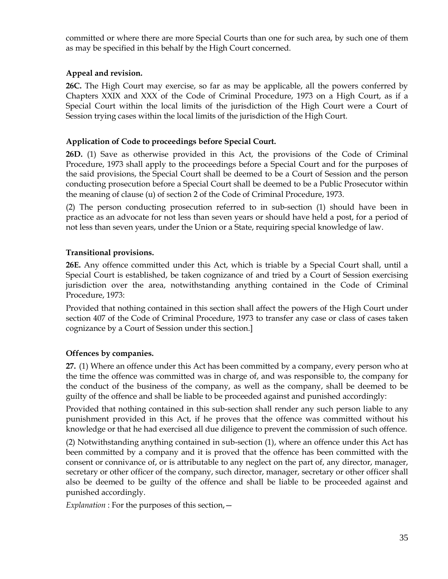committed or where there are more Special Courts than one for such area, by such one of them as may be specified in this behalf by the High Court concerned.

# **Appeal and revision.**

**26C.** The High Court may exercise, so far as may be applicable, all the powers conferred by Chapters XXIX and XXX of the Code of Criminal Procedure, 1973 on a High Court, as if a Special Court within the local limits of the jurisdiction of the High Court were a Court of Session trying cases within the local limits of the jurisdiction of the High Court.

# **Application of Code to proceedings before Special Court.**

**26D.** (1) Save as otherwise provided in this Act, the provisions of the Code of Criminal Procedure, 1973 shall apply to the proceedings before a Special Court and for the purposes of the said provisions, the Special Court shall be deemed to be a Court of Session and the person conducting prosecution before a Special Court shall be deemed to be a Public Prosecutor within the meaning of clause (u) of section 2 of the Code of Criminal Procedure, 1973.

(2) The person conducting prosecution referred to in sub-section (1) should have been in practice as an advocate for not less than seven years or should have held a post, for a period of not less than seven years, under the Union or a State, requiring special knowledge of law.

# **Transitional provisions.**

**26E.** Any offence committed under this Act, which is triable by a Special Court shall, until a Special Court is established, be taken cognizance of and tried by a Court of Session exercising jurisdiction over the area, notwithstanding anything contained in the Code of Criminal Procedure, 1973:

Provided that nothing contained in this section shall affect the powers of the High Court under section 407 of the Code of Criminal Procedure, 1973 to transfer any case or class of cases taken cognizance by a Court of Session under this section.]

# **Offences by companies.**

**27.** (1) Where an offence under this Act has been committed by a company, every person who at the time the offence was committed was in charge of, and was responsible to, the company for the conduct of the business of the company, as well as the company, shall be deemed to be guilty of the offence and shall be liable to be proceeded against and punished accordingly:

Provided that nothing contained in this sub-section shall render any such person liable to any punishment provided in this Act, if he proves that the offence was committed without his knowledge or that he had exercised all due diligence to prevent the commission of such offence.

(2) Notwithstanding anything contained in sub-section (1), where an offence under this Act has been committed by a company and it is proved that the offence has been committed with the consent or connivance of, or is attributable to any neglect on the part of, any director, manager, secretary or other officer of the company, such director, manager, secretary or other officer shall also be deemed to be guilty of the offence and shall be liable to be proceeded against and punished accordingly.

*Explanation* : For the purposes of this section,—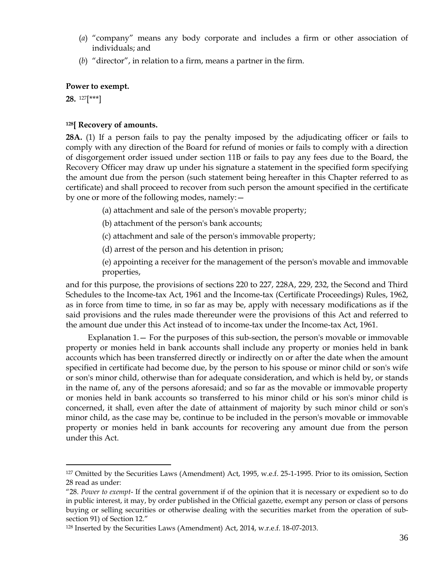- (*a*) "company" means any body corporate and includes a firm or other association of individuals; and
- $(b)$  "director", in relation to a firm, means a partner in the firm.

#### **Power to exempt.**

**28.** <sup>127</sup>[\*\*\*]

 $\overline{a}$ 

#### **<sup>128</sup>[ Recovery of amounts.**

**28A.** (1) If a person fails to pay the penalty imposed by the adjudicating officer or fails to comply with any direction of the Board for refund of monies or fails to comply with a direction of disgorgement order issued under section 11B or fails to pay any fees due to the Board, the Recovery Officer may draw up under his signature a statement in the specified form specifying the amount due from the person (such statement being hereafter in this Chapter referred to as certificate) and shall proceed to recover from such person the amount specified in the certificate by one or more of the following modes, namely:—

- (a) attachment and sale of the person's movable property;
- (b) attachment of the person's bank accounts;
- (c) attachment and sale of the person's immovable property;
- (d) arrest of the person and his detention in prison;
- (e) appointing a receiver for the management of the person's movable and immovable properties,

and for this purpose, the provisions of sections 220 to 227, 228A, 229, 232, the Second and Third Schedules to the Income-tax Act, 1961 and the Income-tax (Certificate Proceedings) Rules, 1962, as in force from time to time, in so far as may be, apply with necessary modifications as if the said provisions and the rules made thereunder were the provisions of this Act and referred to the amount due under this Act instead of to income-tax under the Income-tax Act, 1961.

Explanation 1.— For the purposes of this sub-section, the person's movable or immovable property or monies held in bank accounts shall include any property or monies held in bank accounts which has been transferred directly or indirectly on or after the date when the amount specified in certificate had become due, by the person to his spouse or minor child or son's wife or son's minor child, otherwise than for adequate consideration, and which is held by, or stands in the name of, any of the persons aforesaid; and so far as the movable or immovable property or monies held in bank accounts so transferred to his minor child or his son's minor child is concerned, it shall, even after the date of attainment of majority by such minor child or son's minor child, as the case may be, continue to be included in the person's movable or immovable property or monies held in bank accounts for recovering any amount due from the person under this Act.

<sup>127</sup> Omitted by the Securities Laws (Amendment) Act, 1995, w.e.f. 25-1-1995. Prior to its omission, Section 28 read as under:

<sup>―28.</sup> *Power to exempt*- If the central government if of the opinion that it is necessary or expedient so to do in public interest, it may, by order published in the Official gazette, exempt any person or class of persons buying or selling securities or otherwise dealing with the securities market from the operation of subsection 91) of Section 12."

<sup>128</sup> Inserted by the Securities Laws (Amendment) Act, 2014, w.r.e.f. 18-07-2013.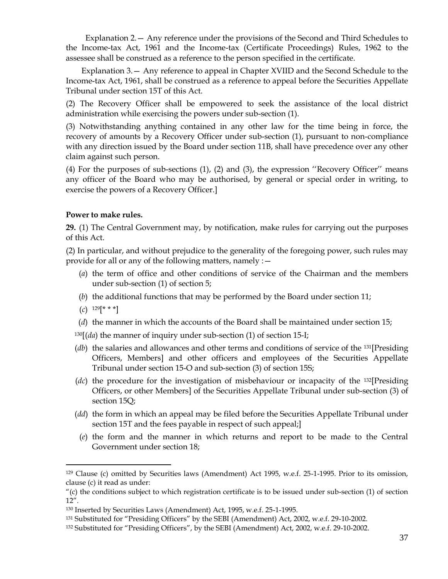Explanation 2.— Any reference under the provisions of the Second and Third Schedules to the Income-tax Act, 1961 and the Income-tax (Certificate Proceedings) Rules, 1962 to the assessee shall be construed as a reference to the person specified in the certificate.

Explanation 3.— Any reference to appeal in Chapter XVIID and the Second Schedule to the Income-tax Act, 1961, shall be construed as a reference to appeal before the Securities Appellate Tribunal under section 15T of this Act.

(2) The Recovery Officer shall be empowered to seek the assistance of the local district administration while exercising the powers under sub-section (1).

(3) Notwithstanding anything contained in any other law for the time being in force, the recovery of amounts by a Recovery Officer under sub-section (1), pursuant to non-compliance with any direction issued by the Board under section 11B, shall have precedence over any other claim against such person.

(4) For the purposes of sub-sections  $(1)$ ,  $(2)$  and  $(3)$ , the expression "Recovery Officer" means any officer of the Board who may be authorised, by general or special order in writing, to exercise the powers of a Recovery Officer.]

#### **Power to make rules.**

**29.** (1) The Central Government may, by notification, make rules for carrying out the purposes of this Act.

(2) In particular, and without prejudice to the generality of the foregoing power, such rules may provide for all or any of the following matters, namely :—

- (*a*) the term of office and other conditions of service of the Chairman and the members under sub-section (1) of section 5;
- (*b*) the additional functions that may be performed by the Board under section 11;
- (*c*) <sup>129</sup>[\* \* \*]

 $\overline{a}$ 

(*d*) the manner in which the accounts of the Board shall be maintained under section 15;

<sup>130</sup>[(*da*) the manner of inquiry under sub-section (1) of section 15-I;

- (*db*) the salaries and allowances and other terms and conditions of service of the 131[Presiding Officers, Members] and other officers and employees of the Securities Appellate Tribunal under section 15-O and sub-section (3) of section 15S;
- (*dc*) the procedure for the investigation of misbehaviour or incapacity of the 132[Presiding Officers, or other Members] of the Securities Appellate Tribunal under sub-section (3) of section 15Q;
- (*dd*) the form in which an appeal may be filed before the Securities Appellate Tribunal under section 15T and the fees payable in respect of such appeal;]
- (*e*) the form and the manner in which returns and report to be made to the Central Government under section 18;

<sup>129</sup> Clause (c) omitted by Securities laws (Amendment) Act 1995, w.e.f. 25-1-1995. Prior to its omission, clause (c) it read as under:

 $^{\prime\prime}$ (c) the conditions subject to which registration certificate is to be issued under sub-section (1) of section 12‖.

<sup>130</sup> Inserted by Securities Laws (Amendment) Act, 1995, w.e.f. 25-1-1995.

<sup>131</sup> Substituted for "Presiding Officers" by the SEBI (Amendment) Act, 2002, w.e.f. 29-10-2002.

<sup>132</sup> Substituted for "Presiding Officers", by the SEBI (Amendment) Act, 2002, w.e.f. 29-10-2002.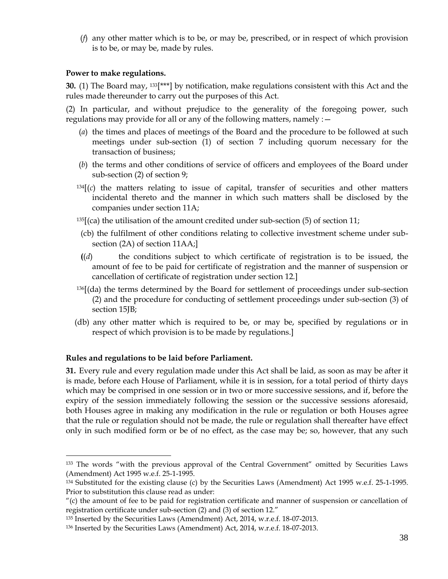(*f*) any other matter which is to be, or may be, prescribed, or in respect of which provision is to be, or may be, made by rules.

#### **Power to make regulations.**

**30.** (1) The Board may, 133[\*\*\*] by notification, make regulations consistent with this Act and the rules made thereunder to carry out the purposes of this Act.

(2) In particular, and without prejudice to the generality of the foregoing power, such regulations may provide for all or any of the following matters, namely :—

- (*a*) the times and places of meetings of the Board and the procedure to be followed at such meetings under sub-section (1) of section 7 including quorum necessary for the transaction of business;
- (*b*) the terms and other conditions of service of officers and employees of the Board under sub-section (2) of section 9;
- $134[(c)$  the matters relating to issue of capital, transfer of securities and other matters incidental thereto and the manner in which such matters shall be disclosed by the companies under section 11A;
- $135$ [(ca) the utilisation of the amount credited under sub-section (5) of section 11;
- (cb) the fulfilment of other conditions relating to collective investment scheme under subsection (2A) of section 11AA;]
- **(**(*d*) the conditions subject to which certificate of registration is to be issued, the amount of fee to be paid for certificate of registration and the manner of suspension or cancellation of certificate of registration under section 12.]
- <sup>136</sup>[(da) the terms determined by the Board for settlement of proceedings under sub-section (2) and the procedure for conducting of settlement proceedings under sub-section (3) of section 15JB;
- (db) any other matter which is required to be, or may be, specified by regulations or in respect of which provision is to be made by regulations.]

#### **Rules and regulations to be laid before Parliament.**

 $\overline{a}$ 

**31.** Every rule and every regulation made under this Act shall be laid, as soon as may be after it is made, before each House of Parliament, while it is in session, for a total period of thirty days which may be comprised in one session or in two or more successive sessions, and if, before the expiry of the session immediately following the session or the successive sessions aforesaid, both Houses agree in making any modification in the rule or regulation or both Houses agree that the rule or regulation should not be made, the rule or regulation shall thereafter have effect only in such modified form or be of no effect, as the case may be; so, however, that any such

<sup>133</sup> The words "with the previous approval of the Central Government" omitted by Securities Laws (Amendment) Act 1995 w.e.f. 25-1-1995.

<sup>134</sup> Substituted for the existing clause (c) by the Securities Laws (Amendment) Act 1995 w.e.f. 25-1-1995. Prior to substitution this clause read as under:

<sup>―(</sup>c) the amount of fee to be paid for registration certificate and manner of suspension or cancellation of registration certificate under sub-section (2) and (3) of section 12."

<sup>135</sup> Inserted by the Securities Laws (Amendment) Act, 2014, w.r.e.f. 18-07-2013.

<sup>136</sup> Inserted by the Securities Laws (Amendment) Act, 2014, w.r.e.f. 18-07-2013.